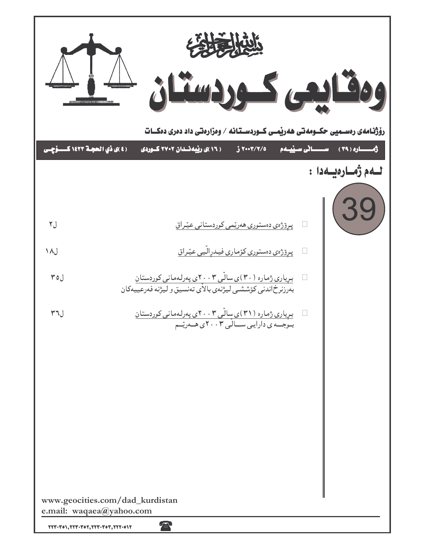|      | 经营收入                                                                                                                                                                                                                                                                                                                   |                                        |
|------|------------------------------------------------------------------------------------------------------------------------------------------------------------------------------------------------------------------------------------------------------------------------------------------------------------------------|----------------------------------------|
|      | رۆژنـامەی رەســمیی حکــومەتـی ھەریْمــی کــوردســتـانـه / وەزارەتـی داد دەری دەكـــات                                                                                                                                                                                                                                  |                                        |
|      | (٤)ى <mark>ذي الحجـة ١٤٢٣ كـــــوَّچــى</mark><br>( ۱۶ )ی رپیه نسدان ۲۷۰۲ کسوردی<br>٢٠٠٣/٢/٥                                                                                                                                                                                                                           | ث الره ( ۳۹ ) ســــانى ســيّـيــــــهم |
|      |                                                                                                                                                                                                                                                                                                                        | لــەم ژەــارەيــەدا :                  |
| ل۲   | <u>پرِوْژەي دەستورى ھەرتمى كوردستانى عيّراق</u>                                                                                                                                                                                                                                                                        |                                        |
| ل ۱۸ | <u>پرِوْژەي دەستورى كۆمارى فيدرِالّيى عيّراق</u>                                                                                                                                                                                                                                                                       |                                        |
| ل ۳٥ | <u>بریاری ژماره ( ۳۰)ی سالّی ۲٫۰۳ی پهرلهمانی کوردستان</u><br>بەرزىرخاندنى كۆششى ليژنەي بالاي تەنسيق و ليژنه فەرعييەكان                                                                                                                                                                                                 |                                        |
| ل٣٦  | بـریاری ژماره (۳۱)ی سالّی ۲۰۰۳ی پهرلهمانی کوردستان<br>بـوجــه ی دارایـی ســـالی ۲۰۰۳ی هــهریّــم                                                                                                                                                                                                                       |                                        |
|      |                                                                                                                                                                                                                                                                                                                        |                                        |
|      |                                                                                                                                                                                                                                                                                                                        |                                        |
|      |                                                                                                                                                                                                                                                                                                                        |                                        |
|      |                                                                                                                                                                                                                                                                                                                        |                                        |
|      |                                                                                                                                                                                                                                                                                                                        |                                        |
|      | www.geocities.com/dad_kurdistan<br>e.mail: waqaea@yahoo.com<br>70<br>$\textbf{Y}\textbf{Y}\textbf{Y}\cdot\textbf{Y}o\textbf{Y}, \textbf{Y}\textbf{Y}\textbf{Y}\cdot\textbf{Y}o\textbf{Y}, \textbf{Y}\textbf{Y}\textbf{Y}\cdot\textbf{Y}o\textbf{Y}, \textbf{Y}\textbf{Y}\textbf{Y}\cdot\textbf{0}\textbf{Y}\textbf{Y}$ |                                        |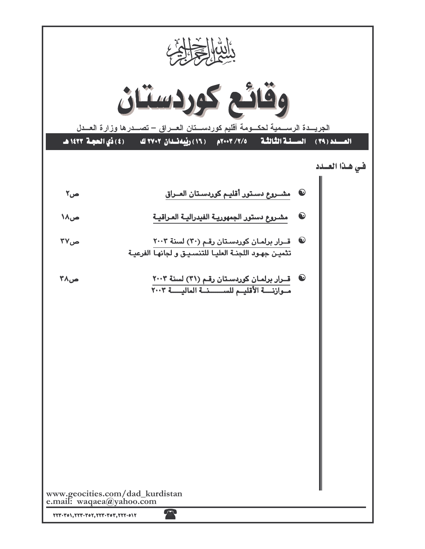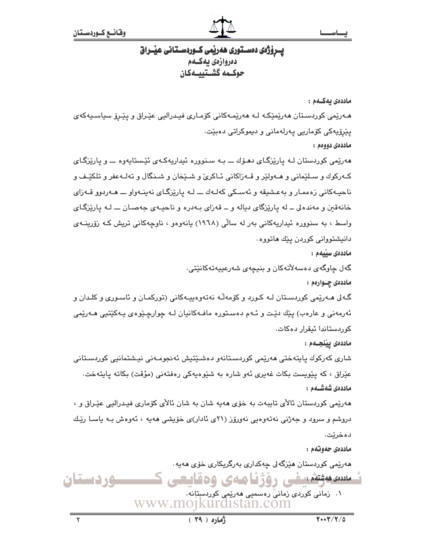

## یــرۆژەی دەســتوری ھەرپمی کــوردســتـانی عیـْــراق دەروازەي بەكــەم حوكــمه گشــتييـــهكان

ماددەى يەكــەم :

هـﻪرێمی کوردسـتان هەرێمێکـﻪ ﻟـﻪ ﻫﻪرێمـﻪکانی کۆمـاری فیـدرالیی عێـراق و یێـرۆ سیاسـیـﻪکهی يٽرۆپەكى كۆمارىي پەرلەمانى و دىموكراتى دەبێت. ماددەي دووەم :

هەرێمی کوردستان لـه پارێزگـای دهـۆك ـــ بـه سـنووره ئیداریهکـهی ئێـستایهوه ـــ و پارێزگـای کـهرکوك و سـلێمانی و هــهولێر و قــهزاکانی ئــاکرئ و شــێخان و شــنگال و تهلــهعفر و تلکێـف و ناحيـهکاني زهممـار و بهعـشيقه و ئهسـکي کهلـهك ـــ لـه پارێزگـاي نهينـهواو ـــ هـهردوو قــهزاي خانهقبن و مهندهلی ــ له یاریزگای دیاله و ــ قهزای بـهدره و ناحیـهی جهصـان ـــ لـه پاریزگـای واسط ، به سنووره ئیداریهکانی بهر له سالی (۱۹۶۸) یانهوهو ، ناوچهکانی تریش کـه زۆرینــهی دانيشتوواني کوردن يێك هاتووه.

ماددەى سىيەم :

گەل چاوگەي دەسەلأتەكان و بنيچەي شەرعييەتەكانێتى. ماددهۍ چــوارهم :

گـه لی هـهریمی کوردسـتان لـه کـورد و کۆمهڵـه نهتهوهییـهکانی (تورکمـان و ئاسـوری و کلـدان و ئەرمەنى و عارەب) پێك دێت و ئـﻪم دەسـتورە مافـﻪكانيان لـﻪ چوارچـێوەي پـﻪكێتيى ھـﻪرێمى کورېستاندا ئېقرار دەكات.

ماددەى ييْنجــەم :

شاری کەرکوك پايتەختى ھەرپمى کوردسىتانەو دەشىيتىش ئەنجومـەنى نيـشتمانىي كوردسـتانى عێراق ، که پێویست بکات غەیری ئەو شارە بە شێوەپەکی رەفتەنی (مؤقت) بکاتە پایتەخت. ماددەي شەشــەم :

هەرێمی کوردستان ئالای تايبەت بە خۆی ھەپە شان بە شان ئالای کۆماری فیـدرالیی عیّـراق و ، دروشم و سرود و جەژنى نەتەوەيى نەورۆز (٢١ى ئادار)ى خۆيشى ھەيە ، ئەوەش بـە ياسـا رێك دەخريت.

ماددەي جەوتەم :

ھەرپمى كوردستان ھێزگەلى چەكدارى بەرگريكارى خۆى ھەيە .

مىددە مەنتەئىلىمى رۇژنا ھەي ۋەقايىچى ك ۰۱ زمانی کوردی زمانیؒ رەسمىی ھەرێمی کوردستانە . www.mojkurdistan.com

**وردستان**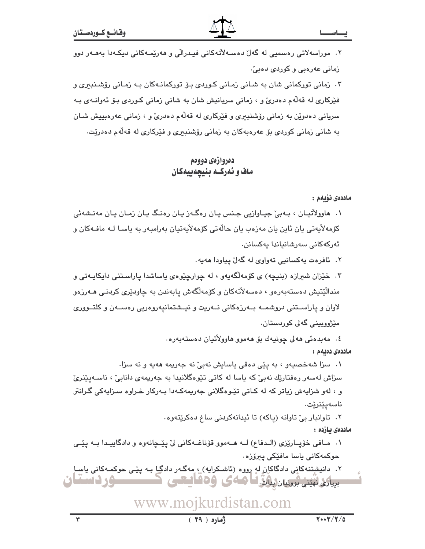#### يصاس

۲. موراسەلاتی رەسمىی لە گەلّ دەسـﻪلاّتەكانى فيـدرالّى و ھەرێمـﻪكانى دىكـﻪدا بەھـﻪر دوو زمانی عهرهبی و کوردی دهبیّ.

۳. زمانی تورکمانی شان به شـانی زمـانی کـوردی بـۆ تورکمانـهکان بـه زمـانی رۆشـنـبری و فێرکاري له قهڵهم دهدريّ و ، زماني سريانيش شان به شاني زماني کـوردي بـوّ ئـهوانـهي بـه سرياني دهدويْن به زماني رۆشنبىرى و فێركارى له قەلەم دەدرى و ، زمانى عەرەبىيش شـان به شانی زمانی کوردی بۆ عەرەبەکان بە زمانی رۆشنبیری و فیرکاری لە قەلەم دەدریت.

### دەروازەي دووەم ماف و ئەركــه بنيچەييەكان

ماددەى ئۆىمم:

- ۰۱ هاوولاُتيـان ، بـهبيُ جيـاوازيي جـنس يـان رهگـهز يـان رهنـگ يـان زمـان يـان مهنـشهئي كۆمەلايەتى يان ئاين يان مەزەب يان حالّەتى كۆمەلايەتيان بەرامبەر بە ياسـا لـە مافـﻪكان و ئەركەكانى سەرشانىاندا پەكسانن.
	- ٢. ئافرەت پەكسانىي تەواوى لە گەل پياودا ھەيە.
- ۰۳ خیزان شیرازه (بنیچه) ی کوّمهالگهیهو ، له چوارچیّوهی یاساشدا پاراستنی دایکایـهتی و مندالێتیش دهستهبهرهو ، دهسهلاٌتهکان و کۆمەلگەش پابەندن بە چاودێری کردنـی هــەرزەو لاوان و پاراسـتنی دروشمــه بــهرزهکانی نــهریت و نیــشتمانیهروهریی رهســهن و کلتــووری مێژوویینی گەلی کوردستان٠
	- ٤. مەبدەئى ھەلى چونيەك بۆ ھەموڧ ھاۋولاتيان دەستەبەرە.

ماددەى دەيەم :

١. سزا شهخصيهو ، به يێي دهقي ياسايش نهبيّ نه جهريمه ههيه و نه سزا. سزاش لەسەر رەفتارێك نەبىؒ كە ياسا لە كاتى تێوەگلانىدا بە جەريمەي دانابىؒ ، ناسـەيێنرىؒ و ، لهو شزايهش زياتر كه له كـاتي تێـوهگلاني جهريمهكـهدا بـهركار خـراوه سـزايهكي گـرانتر ناسەيێنرێت.

٢. تاوانبار بيّ تاوانه (ياكه) تا ئيدانهكردني ساغ دهكريّتهوه.

ماددەى ئازدە :

۰۱ مـافي خۆپـارێزی (الـدفاع) لــه هــهموو قۆناغــهکاني ليّ پێــچانهوه و دادگاييـدا بــه پێــي حوکمەکانى ياسا مافێکى پيرۆزە٠

۲. دانیشتنهکانی دادگاکان له رووه (ئاشـکرایه) ، مهگـهر دادگـا بـه یێـی حوکمـهکانی یاسـاِ بریانی نهیتی بروسان لیلگ اما که کی کی کا استعی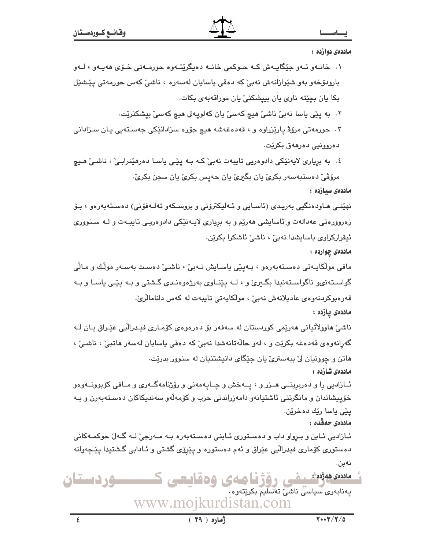ماددهی دوارده :

- ١. خانــهو ئــهو جێگابــهش كــه حــوكمي خانــه دهبگرێتــهوه حورمــهتي خــۆي ههبــهو ، لــهو بارودۆخەو بەو شێوازانەش نەبىؒ كە دەقى ياسايان لەسەرە ، ناشىؒ كەس حورمەتى پێشێل بكا يان بچێته ناوی يان بييشكنی يان موراقهبهی بكات.
	- ٢٠ به ڀێي ڀاسا نهبيٚ ناشيٚ هيچ کهسيٰ ڀان کهلوپه لي هيچ کهسيٰ بيشکنريٚت٠

۰۳ حورمهتي مرۆۋ پارێزراوه و ، قەدەغەشە ھیچ جۆرە سزادانێکی جەسىتەيى پـان سـزادانى دەروونىي دەرھەق بكريّت.

٤. به برياري لايەنێکي دادوەريي تايبەت نەبیٚ کـه بـه پێـي ياسـا دەرھێنرابـیٚ ، ناشـیٚ هـيچ مرۆڤى دەستبەسەر بكرى يان بگيرى يان حەيس بكرى يان سجن بكرى َ

ماددەى سيازدە :

نهێنـی هـاودەنگیی بەریـدی (ئاسـایی و ئـەلیکترۆنی و بروسـکەو تەلـەفۆنی) دەسـتەبەرەو ، بـۆ زەروورەتى عەدالەت و ئاسايشى ھەريم و بە بريارى لايـەنێكى دادوەريـى تايبـەت و لـە سـنوورى ئيقراركراوي ياسايشدا نەبى ،، ناشى ئاشكرا بكرێن.

ماددهۍ چوارده :

مافی مولّکایـهتی دەسـتەبەرەو ، بـەیێی یاسـایش نـەبیٚ ، ناشـیٚ دەسـت بەسـەر مولّـك و مـالّی گواسـتەنى، ناگواسـتەنيدا بگــرى و ، لــه يێنــاوى بەرژەوەنـدى گــشتى و بــه يێـى ياسـا و بــه قەرەبوكردنەوەي عادېلانەش نەبى ، مولكايەتى تايبەت لە كەس دانامالرىّ. ماددەى يازدە :

ناشیٚ هاوولاٌتیانی هەرێمی کوردستان له سەفەر بۆ دەرەوەی کۆمـاری فیـدرالّیی عیّـراق یـان لــه گەرانەوەي قەدەغە بكريّت و ، لەو حالّەتانەشدا نەبىّ كە دەقى ياسايان لەسەر ھاتبىّ ، ناشىيّ ، هاتن و چوونیان ليّ بېهستريّ يان جێگای دانيشتنيان له سنوور بدرێت٠ ماددەى شازدە :

ئــازادیی را و دهربرینــی هــزر و ، پــهخش و چــایـهمهنی و رۆژنامهگــهری و مــافی کۆبوونــهوهو خۆپیشاندان و مانگرتنی ئاشتیانەو دامەزراندنی حزب و کۆمەلّەو سەندىكاكان دەسـتەبەرن و بـە يێی ياسا رێك دەخرێن.

ماددەي حەقْدە :

ئـازادیی ئـاین و بـرواو داب و دەسـتوری ئـاینی دەسـتەبەرە بــه مــەرجیٚ لــه گــەلٚ حوکمــەکانی دهستوري کۆماري فيدرالّيي عێراق و ئهم دهستوره و پێرۆي گشتي و ئـادابي گـشتيدا پێڃهوانه نەبن.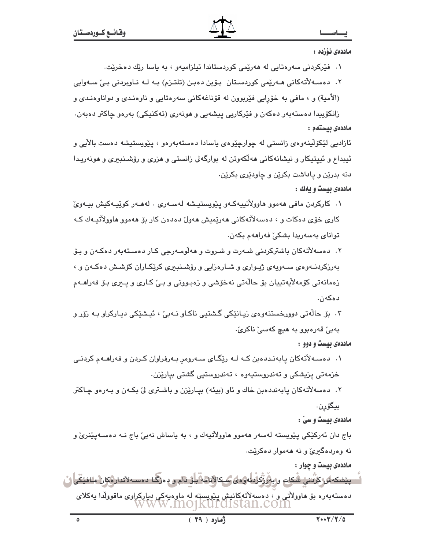#### ماددەى ئۆزدە :

۰۱ فٽرکردني سهرهتايي له ههرٽمي کوردستاندا ئيلزاميهو ، به پاسا رٽك دهخرٽت.

۲. دەسـﻪلأتەكانى ھـﻪرێمى كوردسـتان بـۆين دەبـن (تلتـزم) بـﻪ ﻟـﻪ ﻧـﺎﻭﺑﺮﺩﻧﻰ ﺑـﻰّ ﺳـﻪﻭﺍﻳﻰ

(الأمية) و ، مافي به خۆرايي فيربوون له قۆناغەكانى سەرەتايى و ناوەنىدى و دواناوەنىدى و

زانکۆپیدا دەستەبەر دەکەن و فێرکاریی پیشەیی و ھونەری (تەکنیکی) بەرەو چاکتر دەبەن٠ ماددەى بيستەم :

ئازادیی لێکۆلاینەوەی زانستی لە چوارچێوەی ياسادا دەستەبەرەو ، يێويستيشە دەست بالآيی و ئیبداع و ئیپتیکار و نیشانهکانی مهالکهوتن له بوارگهلی زانستی و مزری و رۆشـنبیری و مونهریـدا دنه بدرێن و پاداشت بکرێن و چاودێری بکرێن.

#### ماددهی بیست و یهك :

- ١. كاركردن مافي ھەمور ھاوولاُتىيەكـﻪر يێويستيـشە لەسـﻪرى . لەھـﻪر كوێيـﻪكيش بيـﻪرىّ کاري خۆي دەکات و ، دەسەلاتەکانى ھەرێمیش ھەول دەدەن کار بۆ ھەمور ھاوولاتیـەك كـە تواناي بەسەريدا بشكىؒ فەراھەم بكەن٠
- ۲. دەسەلأتەكان باشتركردنى شـەرت و شـروت و ھەلّۈمـەرجى كـار دەسـتەبەر دەكـەن و بـۆ بهرزکردنــهوهي ســهويهي ژيــواري و شــارهزايي و رۆشــنبـبري کريکــاران کۆشـش دهکــهن و ، زەمانەتى كۆمەلأپەتييان بۆ حالەتى نەخۆشى و زەبىوونى و بى' كـارى و پـىرى بـۆ فەراھــەم دەكەن.
- ۴. بِفِ حالَهتي پوورخستنهوهي زيبانٽِکي گشتيي ناکاو نبهي َ، ئيشٽِکي پيبارکراو بِه زوّر و بەبىؒ قەرەبوو بە ھىچ كەسىؒ ناكرىؒ.

#### ماددهی بیست و دوو :

۰۱ دهسه لاتهکان پابهنددهبن کـه لـه ریّگـای سـهرومر بـهرفراوان کـردن و فهراهـهم کردنـی خزمەتى پزيشكى و تەندروستيەوە ، تەندروستىي گشتى بيارێزن.

۲. دهسهلاتهکان پابهنددهبن خاك و ئاو (بيئه) بياريْزن و باشترى ليّ بکـهن و بـهرهو چـاکتر بيگۆرن.

ماددهی بیست و سیّ :

باج دان ئەركێكى پێويستە لەسەر ھەموو ھاوولاٌتيەك و ، بە پاساش نەبىٚ باج نــە دەسـەپێنرىٚ و نه وهردهگیری و نه ههموار دهکریت.

ماددهی بیست و چوار :

| <u>ٞؗ؎ۑێۺڮۺڕػڒۛڹڹۑۣۢ ش۠ػ</u> ڸؾ؋ڔۑۉۜڒۣ۫ػۣڒؙؠڶٶٷ <i>ڝ</i> ػٳڷٳڶۿ؋ۜؠڶڋۣ۩ٙم؈؋ۥۯڲڶ؋ڡٮٷٚؾڐٳڕۉػٳڹٛ؋ڶڣێػۜؠؗڶڷ                 |  |
|------------------------------------------------------------------------------------------------------------------------|--|
| دەستەبەرە بۆ ھاوولاتى و ، دەسەلاتەكانىش يېيويستە لە ماوەيەكى دياركراوى ماقوولدا يەكلاى<br>W W W .INO]KUI CLISTAN .COIN |  |
|                                                                                                                        |  |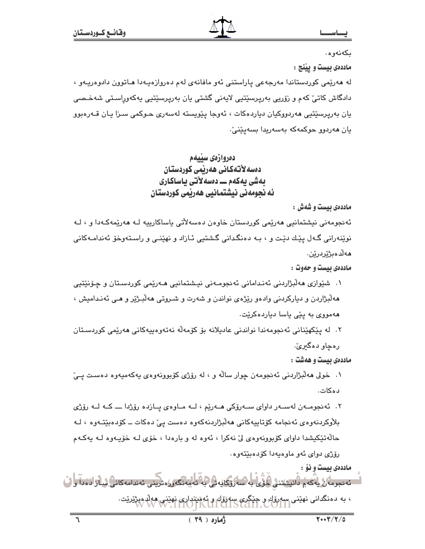ىكەنەوھ.

ماددهی بیست و یینج :

له هەرێمی کوردستاندا مەرجەعی پاراستنی ئەو مافانەی لەم دەروازەپـەدا ھـاتوون دادوەرپـەو ، دادگاش کاتیؒ کهم و روّریی بهرپرسێتیی لایهنی گشتی یان بهرپرسێتیی یهکهوراسـتی شهخـصی يان بەرپرسێتپى ھەردووكيان دياردەكات ، ئەوجا يێويستە لەسەرى حـوكمى سـزا يـان قــەرەبوو يان ھەردوق جوڭمەكە بەسەريدا بسەيٽنىٰ:

> دەروازەي سىيەم دەسەلأتەكانى ھەربمى كوردستان بەشى يەكەم ـــ دەسەلاتى ياساكارى ئه نجومەنى نيشتمانيى ھەرپمى كوردستان

> > ماددهی بیست و شهش :

ئەنجومەنى نيشتمانيى ھەرێمى كوردستان خاوەن دەسەلأتى ياساكارييە لـە ھەرێمەكـەدا و ، لـە نوێنەرانى گەل يێك دێت و ، بـه دەنگدانى گشتيى ئـازاد و نهێنـى و راسـتەوخۆ ئەندامـەكانى ھەلدەپژېردرېن.

ماددهی بیست و حدوت :

- ۱. شێوازي هەڵبژاردني ئەنىدامانى ئەنجومـەنى نيـشتمانيي ھـەرێمى كوردسـتان و چـۆنێتيي ههڵبژاردن و دیارکردنی وادهو رێژهی نواندن و شهرت و شـروتی ههڵبـژێر و هـی ئهنـدامیش ، ههمووی به ییّی یاسا دیاردهکریّت.
- ٢. له يێکهێناني ئەنجومەندا نواندنی عاديلانە بۆ کۆمەڵە نەتەوەپيەکانی ھەرێمی کوردسـتان رهچاو دهگ<del>یر</del>ئ.

ماددهی بیست و ههشت :

۰۱ خولی ههالبژاردنی ئهنجومهن چوار ساله و ، له رۆژی کۆبوونهوهی یهکهمیهوه دهست یـیّ دەكات.

۲. ئەنجومــەن لەســەر داواي ســەرۆكى ھــەرێم ، لــە مــاوەي پــازدە رۆژدا ــــ كــە لــە رۆژي بلاْوكردنەوەي ئەنجامە كۆتاييەكانى ھەلْبژاردنەكەوە دەست يىّ دەكات ــ كۆدەبێتـەوە ، لــە حالهتيکيشدا داواي کۆبوونەوەي ليّ نەکرا ، ئەوە لە و بارەدا ، خۆي لـه خۆپـەوە لــه يەکــهم رۆژى دواى ئەو ماوەيەدا كۆدەبێتەوە.

ماددهي بيست و نوْ :

ئەنجومەن يەكەم دانيشتنى خۇي بە سەرۇكاپەتى بە تەمەنگەورەترىنى ئەندامەكانى شازادەدا وا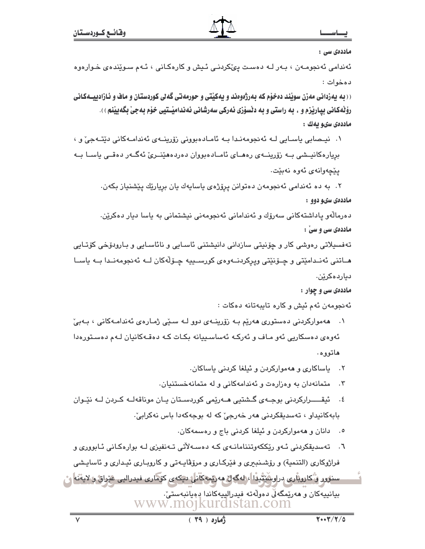#### ماددەى سى :

ئەندامى ئەنجومەن ، بـەر لـە دەسـت يېڭكردنـى ئـيش و كارەكـانى ، ئـەم سـوێندەي خـوارەوە دەخوات :

((ده دهزدانی مهزن سوئند دهخوّم که دهرژهوهند و دهکنتی و حورمهتی گه بی کوردستان و ماف و ئازادییـهکانی رۆٽەكانى بيارێزم و ، به راستى و به دێسۆزى ئەركى سەرشانى ئەندامێـتيى خۆم بەجىٚ بگەيێنم ) ). ماددەى سىو يەك :

۰۱ نیـمىابى ياسـايى لـه ئەنجومەنـدا بـه ئامـادەبوونى زۆرپنــهى ئەندامـەكانى دێتــهجىٚ و ، بریارهکانیـشی بــه زۆرینــهی رههــای ئامــادهبووان دهردههێنــریّ ئهگــهر دهقــی یاســا بــه يێڇەوانەي ئەوە نەبێت.

۲. به ده ئەندامى ئەنجومەن دەتوانن پرۆژەي ياسايەك يان بريارێك پێشنياز بكەن. ماددهی سیو دوو :

دەرمالّەو پاداشتەكانى سەرۆك و ئەندامانى ئەنجومەنى نېشتمانى بە پاسا دېار دەكرێن. ماددهی سی و سی :

تەفسىيلاتى رەوشى كار و چۆنپتى سازدانى دانيشتنى ئاسـاپى و نائاسـاپى و بـارودۆخى كۆتـاپى هــاتني ئەنــدامێتي و چــۆنێتي ويرکردنــەوەي کورســييە چـۆڵەکان لــە ئەنجومەنــدا بــە ياســا دياردەكرٽن.

ماددهی سی و چوار :

ئەنجومەن ئەم ئيش و كارە تايبەتانە دەكات :

۰۱ - هه موارکردنی دهستوری ههریم بـه زورینـهی دوو لـه سـێی ژمـارهی ئهندامـهکانی ، بـهبیّ ئەوەي دەسكاريى ئەو مـاف و ئەركـە ئەساسـىيانە بكـات كـە دەقـەكانيان لـەم دەسـتورەدا هاتووه.

۲. پاساکاری و ههموارکردن و ئیلغا کردنی پاساکان.

- متمانهدان به وهزارهت و ئهندامهکانی و له متمانهخستنیان.  $\cdot$   $\mathsf{r}$
- ٤. ئيقـــــرارکردني بوجــهي گــشتيي هــهرێمي کوردســتان پــان موناقهلــه کــردن لــه نێـوان بابهکانيداو ، تەسدىقكردنى ھەر خەرجىؒ كە لە بوجەكەدا باس نەكرابىؒ.
	- ٥. دانان و ههمواركردن و ئيلغا كردنى باج و رەسمەكان.
- ٦. تهسدیقکردنی ئـهو ریککهوتننامانـهی کـه دهسـهلاتی تـهنفیزی لـه بوارهکـانی ئـابووری و فراژوكاري (التنمية) و رۆشـنبيري و فێركـاري و مرۆڨاپـەتى و كاروبـاري ئيـداري و ئاساپـشي سنور و کاروباری دراوستِتِّيدًا ، لهگهل مهریمهکانی دیکهی کوماری فیدرالیی عیراق و لایتْنه ر بيانييەكان و ھەرێمگەڵى دەولەتە فيدرالييەكاندا دەيانبەستىٚ.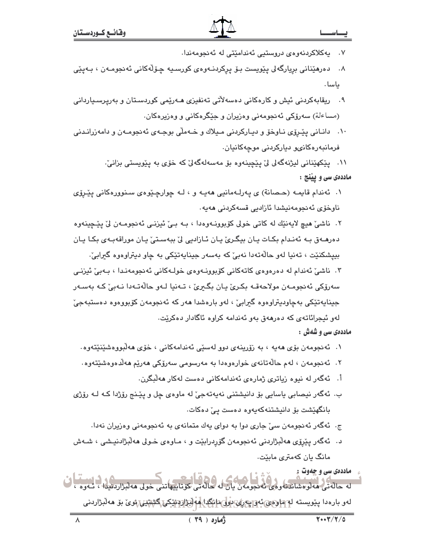۰۷ پهکلاکردنهوهی دروستیی ئەندامێتی له ئەنجومەندا.

۸. دەرمێنانى بريارگەلى پێويست بـۆ پركردنـﻪرەي كورسـيە چـۆڵەكانى ئەنجومـﻪن ، بـﻪيێے، داسا .

- ۹. ریقابەکردنی ئیش و کارەکانی دەسەلآتی تەنفیزی مـەرێمی کوردسـتان و بەرپرسـیاردانی (مساءلة) سەرۆكى ئەنجومەنى وەزيران و جێگرەكانى و وەزيرەكان.
- ۰۱۰ دانــانی پێـرۆی نــاوخۆ و دیــارکردنی مـیلاك و خــهملّی بوجــهی ئهنجومــهن و دامهزرانــدنی فرمانبەرەكانى، دياركردنى موجەكانيان.

١١. يێکهێناني ليژنهگەلي ليّ يێچينەوه بۆ مەسەلەگەليّ کە خۆي بە يێويستى بزانيّ. ماددهی سی و پیننج :

- ۰۱ ئەندام قايمـه (حـصانة) ی پهرلـهمانيي هەپـه و ، لـه چوارچـێوهي سـنوورهكاني پێـرۆی ناوخۆی ئەنجومەنيشدا ئازادىي قسەكردنى ھەيە.
- ۲. ناشيٌ هيچ لايەنێك له كاتى خولى كۆبوونــەوەدا ، بــه بــيٌ ئيزنــي ئـهنجومــهن ليٌ يێـڃينـهوه دەرھـەق بـه ئەنـدام بكـات يـان بيگـرىّ يـان ئـازاديى لىّ ببەسـتىّ يـان موراقەبـەي بكـا يـان بييشکنٽت ، تەنيا لەو حالّەتەدا نەبىؒ کە بەسەر جېنايەتٽکى بە چاو دېتراوەوە گیرابیؒ·

۳. ناشئ ئەندام لە دەرەوەي كاتەكانى كۆبوونـەوەي خولـەكانى ئەنجومەنـدا ، بـەبى ئيزنـى سەرۆكى ئەنجومـەن مولاحەقـە بكـرى يـان بگـبرى ، تـەنيا لـەو حالّەتـەدا نـەبى كـە بەسـەر جينايەتێکى بەچاوديتراوەوە گىرايىؒ ، لەو بارەشدا ھەر كە ئەنجومەن كۆبووەوە دەستبەجىؒ لەو ئېجرائاتەي كە دەرھەق بەو ئەندامە كراوە ئاگادار دەكريت.

ماددهی سی و شدش :

- ۱. ئەنجومەن بۆي ھەيە ، بە زۆرينەي دور لەسىي ئەندامەكانى ، خۆي ھەلىورەشىيىنىتەرە.
- ۲. ئەنجومەن ، لەم حالّەتانەي خوارەوەدا بە مەرسومى سەرۆكى ھەرپّم ھەلّدەوەشپّتەوە .
	- أ. ئەگەر لە نيوە زياترى ژمارەي ئەندامەكانى دەست لەكار ھەلىگرن.
- ب. ئەگەر نيصابى ياسايى بۆ دانيشتنى نەپەتەجىّ لە ماوەي چل و پێـنج رۆژدا كـه لـه رۆژى بانگهێشت بۆ دانیشتنەكەپەوە دەست يىٚ دەكات.
	- ج. ئەگەر ئەنجومەن سىّ جارى دوا بە دواى يەك متمانەى بە ئەنجومەنى وەزيران نەدا.
- د. ئەگەر پێږۆى ھەلّبژاردنى ئەنجومەن گۆردرابێت و ، مـاوەي خـولى ھەلّبژادنيـشى ، شـەش مانگ پان کهمتری مابێت.

ماددهي سي و چهوت : له حاله کې مه تومشاندنه ومي ته دجومهن بيان له حاله تي حق تايپهاتني خولي مه تېژاردنيدا ، تـه وه لەر بارەدا يـێويستە لەھلۈھى ئەۋ<sub>ا</sub>يەر*ى بار*ىمى ئەرابىسى بارى ئىكتاپ مەلىرات ئىككى گ<del>ى</del>ئىتىنى ئوى بۆ مەلىراردىنى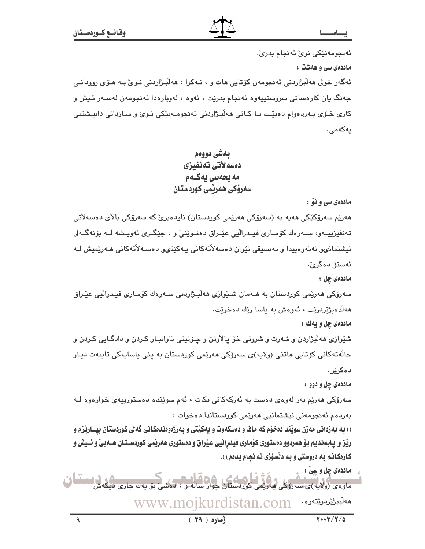ئەنجومەنێكى نوێ ئەنجام بدرێ٠

ماددهی سی و ههشت :

ئەگەر خولى مەلّىژاردنى ئەنجومەن كۆتايى مات و ، نـﻪكرا ، مەلّىـژاردنى نـﻮئ بـﻪ مـۆى روودانـى جەنگ يان كارەساتى سروستييەوە ئەنجام بدرێت ، ئەوە ، لەوبارەدا ئەنجومەن لەسـەر ئـيش و کاري خـوّي بـهردهوام دهبێت تـا کـاتي ههڵبـژاردني ئهنجومـهنێکي نـويّ و سـازداني دانپـشتني يەكەمى.

## بهشي دووهم دەسەلاتى تەنفىزى مه بحهسی پهکـهم سەرۆكى ھەربمى كوردستان

ماددهی سی و نوْ :

ھەرپّم سەرۆكككى ھەيە بە (سەرۆكى ھەرپّمى كوردستان) ناودەبرىّ كە سەرۆكى بالأى دەسەلاتى تەنفيزييــەو، ســەرەك كۆمــارى فيــدرالْيى عێـراق دەنــوێنىْ و ، جێگــرى ئەويــشە لــە بۆنەگــەلى نیشتمانی، نەتەرەبیدا و تەنسىقى نێوان دەسەلاتەكانى بەكێتى، دەسـەلاتەكانى ھـەرێمىش لـە ئەستۆ دەگرىؒ.

ماددەى چل :

سەرۆكى ھەرپمى كوردستان بە ھـﻪمان شـێوازى ھەڵبـژاردنى سـﻪرەك كۆمـارى فيـدراڵيى عێـراق هەلدەبژیردریت ، ئەوەش بە ياسا ریك دەخریت.

ماددهي چل و يهك :

شێوازی ههڵبژاردن و شهرت و شروتی خۆ پالأوتن و چـۆنیتی تاوانبـار کـردن و دادگـایی کـردن و حالّەتەكانى كۆتايى ماتنى (ولايە)ى سەرۆكى مەرێمى كوردستان بە پێى ياسايەكى تايبەت ديـار دەكرێن.

ماددهۍ چل و دوو :

سەرۆكى ھەرپە بەر لەوەي دەست بە ئەركەكانى بكات ، ئەم سويْندە دەستورىييەي خوارەوە ك بەردەم ئەنجومەنى نيشتمانيى ھەرێمى كوردستاندا دەخوات :

<u>( ( به پهزدانی مهزن سویْند ده خوْم که ماف و دهسکهوت و پهکیّتی و بهرژهوهندهکانی گه بی کوردستان بیسارپْزم و </u> رێز و پابهندیم بوْ ههردوو دهستوری کوْماری فیدرانیی عیْراق و دهستوری ههریْمی کوردسـتـان هــهبیْ و ئــیش و کارهکانم به دروستی و به دنسوّزی نه نجام بدهم ).

ماددهي چل و سِيْ : ماوەي (ولايە)ئ سەرۆكى ھەرىمى كۈردستان چوار سالەر ، دەش **م**ەلبىژێردرێتەوە www.moikurdistan.com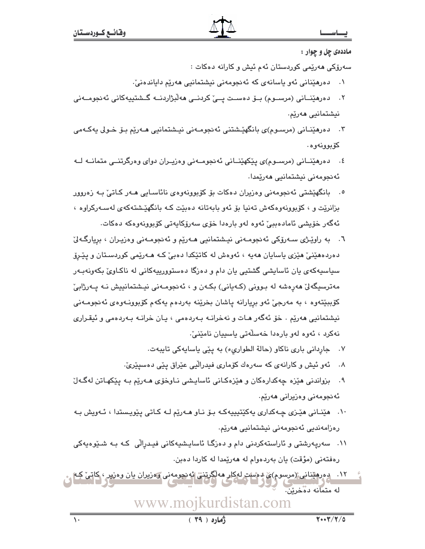#### ماددهی چل و چوار :

سەرۆكى ھەرێمى كوردستان ئەم ئيش و كارانە دەكات :

- دەرھێنانى ئەو ياسانەي كە ئەنجومەنى نيشتمانيى ھەرێم داياندەنىٚ.  $\cdot$
- ٢. دەرھێنــانى (مرســوم) بــۆ دەســت پــێ كردنــى ھەلْبژاردنــە گــشتییەكانى ئەنجومــەنى نيشتمانيي ھەرێم.
- دەرھینانی (مرسـوم)ی بانگھیےشتنی ئەنجومـەنی نیـشتمانیی ھـەریم بـۆ خـولى يەكـەمى  $\cdot$   $\mathsf{r}$ كۆبوۋنەوە.
- ٤. دەرھێنــانى (مرســوم)ى پێكھێنــانى ئەنجومــەنى وەزيــران دواى وەرگرتنــى متمانــه لــه ئەنجومەنى نيشتمانيى ھەرێمدا.
- ۰. بانگهێشتی ئەنجومەنی وەزیران دەكات بۆ كۆبوونەوەی نائاسـايی ھـەر كـاتىٚ بـە زەروور بزانرێت و ، کۆبوونەوەکەش تەنيا بۆ ئەو بابەتانە دەبێت کـه بانگهێشتەکەي لەسـەرکراوە ، ئەگەر خۆيشى ئامادەببى ئەوە لەو بارەدا خۆى سەرۆكايەتى كۆبورنەوەكە دەكات.
- ٦. به راوێژی سهرۆکی ئەنجومەنی نیشتمانیی مەرێم و ئەنجومەنی وەزیىران ، بریارگەلىٰ دەردەھێنیٚ ھێزی پاساپان ھەپە ، ئەوەش لە كاتێكدا دەبیٚ كـە ھـەرێمی كوردسـتان و پێـرۆ سياسيهکەي يان ئاسايشى گشتيى يان دام و دەزگا دەستوورىيەکانى لە ناکـاوێ بکەونەبـەر مەترسىگەلىٰ ھەرەشە لە بىوونى (كـەيانى) بكـەن و ، ئەنجومـەنى نيـشتمانىيش نـە يـەرژابىٰ کۆببێتەوە ، بە مەرجىٚ ئەو بريارانە ياشان بخرێنە بەردەم يەكەم كۆبوونـەوەى ئەنجومـەنى نيشتمانيي هەريم . خۆ ئەگەر هـات و نەخرانــه بــەردەمى ، يـان خرانــه بــەردەمى و ئيقـرارى نەكرد ، ئەوە لەو بارەدا خەسلەتى ياسىيان نامێنىٚ٠
	- ٧. جارداني باري ناكاو (حالة الطواريء) به يێي ياسايهكي تايبهت.
	- ۸. ئەو ئىش و كارانەي كە سەرەك كۆمارى فىدرالىي عێراق يێى دەسپێرىّ.
- ۹. بزواندني مێزه چەکدارەکان و مێزەکـانی ئاسايـشی نـاوخۆی مـەرێم بـه یێکهـاتن لەگـەلٚ ئەنجومەنى وەزيرانى ھەرێم.
- ۱۰. هێنانی هێزی چهکداری پهکێتپیپهکه بۆ ناو مـهرێم لـه کـاتی پێویستدا ، ئـهویش بـه رەزامەندىي ئەنجومەنى نيشتمانيى ھەرێم.
- ۱۱. سەرپەرشتى و ئاراستەكردنى دام و دەزگـا ئاساپـشىپەكانى فېـدرالْي كـه بـه شىيْوەپەكى رەفتەنى (مؤقت) يان بەردەولم لە ھەرێمدا لە كاردا دەبن.
- ۱۲. ده رهینانی (مرسوم)ی دهست لهکار مهاگرتنی ئه نجومهنی وهزیران یان وهزیر ، کاتی کتاری له متمانه ده خرنن.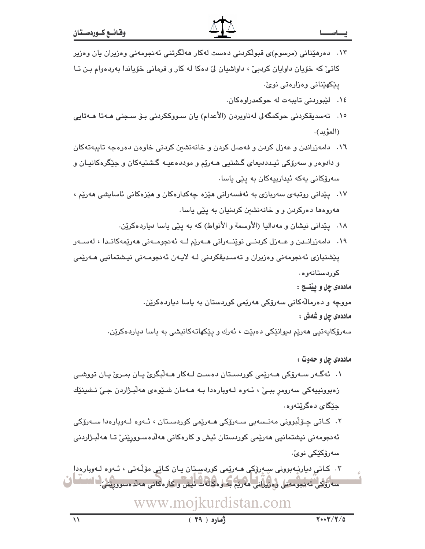#### ـا سـ

- ۱۳. د درهێنانی (مرسوم)ی قبولٌکردنی دهست لهکار ههلٌگرتنی ئهنجومهنی وهزیران یان وهزیر کاتيٰ که خوّيان داوايان کردېيّ ، داواشيان ليّ دهکا له کار و فرماني خوّياندا بهردهوام بـن تـا يٽکهٽناني وهزارهتي نويٰ۔
	- ٠١٤ لێبوردنی تايبهت له حوکمدراوهکان.
- ١٥. تەسدىقكردنى حوكمگەلى لەناوبردن (الأعدام) يان سـووككردنى بـۆ سـجنى ھـﻪتا ھـﻪتايى (المؤيد).
- ١٦. دامەزراندن و عەزل كردن و فەصل كردن و خانەنشىن كردنى خاوەن دەرەجە تاپپەتەكان و دادوهر و سهرۆکی ئیـدددیعای گـشتیی هـهرێم و موددهعیـه گـشتیهکان و جێگرهکانیـان و سەرۆكانى يەكە ئىدارىيەكان بە يێى ياسا٠
- ۱۷. پێدانی روتبهی سەریازی به ئەفسەرانی مێزه چەکدارەکان و مێزەکانی ئاسايشی مەرێم ، ههروهها دهرکردن و و خانهنشین کردنیان به پێی یاسا.
	- ١٨. يێداني نيشان و مهداليا (الأوسمة و الأنواط) كه به يێي ياسا دياردهكريّن.
- ۱۹. دامەزرانىدن و عــەزل كردنــى نوێنــەرانى ھــەرێم لــە ئەنجومــەنى ھەرێمەكانــدا ، لەســەر پێشنیازی ئەنجومەنی وەزیران و تەسىدىقكردنى لـه لايـەن ئەنجومـەنى نيـشتمانيى ھـەرێمى کوردستانەوە٠

ماددهی چل و پينسج :

مووچه و دەرمالّەكانى سەرۆكى ھەرێمى كوردستان بە ياسا دياردەكرێن. ماددهي چل و شهش :

سەرۆكايەتيى ھەرێم ديوانێكى دەبێت ، ئەرك و پێكھاتەكانيشى بە ياسا دياردەكرێن.

ماددهي چل و حهوت :

۱. ئەگـەر سـەرۆكى ھـەرێمى كوردسـتان دەسـت لـەكار ھـەڵبـگرئ يـان بمـرئ يـان تووشـى زهبوونيپەكى سەرومر بېـێ ، ئـﻪوە ﻟـﻪويارەدا بـﻪ ھـﻪمان شـێوەي ھەڵبـژاردن جـێ نـشينێك جێگای دهگرێتهوه٠

۲. کـاتي چـۆلْبووني مەنـسەبى سـەرۆکى ھـەرێمى کوردسـتان ، ئـەوە لـەوبارەدا سـەرۆکى ئەنجومەنى نيشتمانيي ھەرێمی کوردستان ئيش و کارەکانی ھەلّدەسـوورێنیٚ تـا ھەلبـژاردنی سەرۆكێكى نوێ٠

۴. کاتی دیارنەبوونی سەرۆکی ھەرێمی کوردستان یان کاتی مۆڵەتی ، ئەوە لەوبارەدا سەرۇلىي ئەيجومەنى وەزيرانى مەربە بە وەكالەت ئىش وكارەكانى مەلدەسوررى كالاساما ف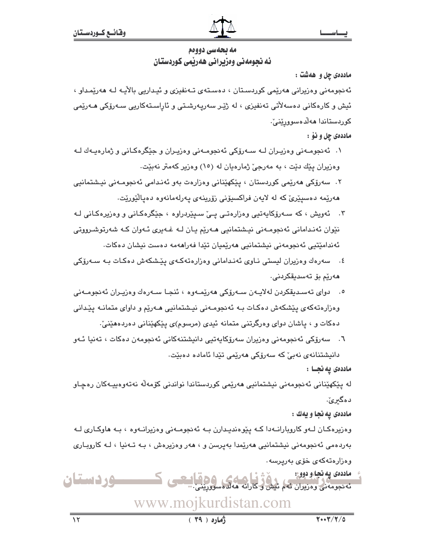## مه بحه سي دوودم ئه نجومهنی وهزیرانی ههریمی کوردستان

ماددهی چل و ههشت :

ئەنجومەنى وەزيرانى ھەرپمى كوردسىتان ، دەستەي تـەنفيزى و ئيـداريى بالآيـە لـە ھەرپمـداو ، ئیش و کارهکانی دەسەلاّتی تەنفیزی ، لە ژێـِر سەرپەرشـتی و ئاراسـتەکاریی سـەرۆکی مـەرێمی کوردستاندا ھەلّدەسوورێنێ٠.

- ماددهۍ چل و نوْ :
- ۰۱ ئەنجومـەنى وەزيـران لــه سـەرۆكى ئەنجومـەنى وەزيـران و جێگرەكـانى و ژمارەيـەك لــه وهزيران يێك دێت ، به مەرجىٌ ژمارەيان له (١٥) وەزير كەمتر نەبێت.
- ۲. سەرۆكى ھەرێمى كوردستان ، پێكھێنانى وەزارەت بەو ئەنـدامى ئەنجومـەنى نيـشتمانيى ھەرپمە دەسپێرى كە لە لاپەن فراكسپۆنى زۆرپنەي پەرلەمانەوە دەپالێورپت.
- ۴. ئەويش ، كە سـەرۆكاپەتيى وەزارەتـى يـێ سـیێردراوە ، جێگرەكـانى و وەزیرەكـانى ك نٽوان ئەندامانی ئەنجومەنی نیشتمانیی مەریم یان لـه غـهیری ئـهوان كـه شەرتوشـرووتی ئەندامێتىي ئەنجومەنى نىشتمانىي ھەرێمپان تێدا ڧەراھەمە دەست نىشان دەكات.
- ٤. سەرەك وەزيران ليستى نـاوى ئەنـدامانى وەزارەتەكـەى يێشكەش دەكـات بـە سـەرۆكى ھەرپم بۆ تەسدىقكردنى.
- ٥. دواي تەسـدېقكردن لەلاپـەن سـەرۆكى ھەرێمـەوە ، ئنجـا سـەرەك وەزپـران ئەنجومـەنى وهزارهتهکهی پیشکهش دهکات بـه ئهنجومـهنی نیـشتمانیی هـهریم و داوای متمانـه پیدانی دهکات و ، پاشان دوای وهرگرتنی متمانه ئیدی (مرسوم)ی پێکهێنانی دهردههێنیٚ.
- ٦. سەرۆكى ئەنجومەنى وەزيران سەرۆكاپەتيى دانيشتنەكانى ئەنجومەن دەكات ، تەنيا ئـەو دانیشتنانەي نەبیؒ كە سەرۆكى ھەرێمى تێدا ئامادە دەبێت.

ماددەى يەنجـا :

لە يێكھێنانى ئەنجومەنى نيشتمانيى ھەرێمى كوردستاندا نواندنى كۆمەڵە نەتەوەپپەكان رەچـاو د هگیرئ.

ماددهي يه نجا و يهك :

وهزیرهکـان لــهو کاروبارانــهدا کــه پێوهندیـدارن بــه ئهنجومــهنی وهزیرانــهوه ، بــه هاوکــاری لــه بەردەمى ئەنجومەنى نيشتمانىي ھەرێمدا بەپرسن و ، ھەر وەزیرەش ، بـە تـەنیا ، لـە كاروبـارى وەزارەتەكەي خۆي بەرپرسە .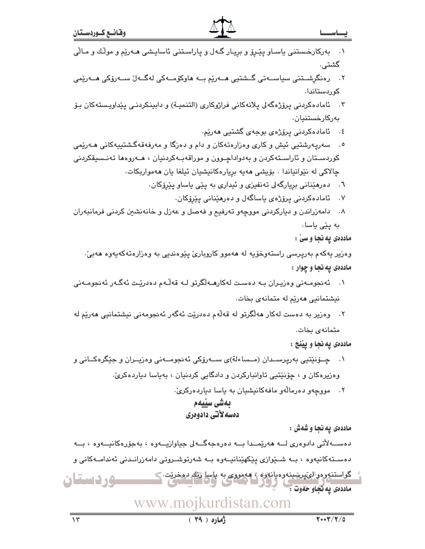- ۰۱ بهرکارخـستنی یاسـاو پێـِرۆ و بریـار گـهل و یاراسـتنی ئاسایـِشی هـهرێم و موڵك و مـاڵی گشتی.
- ٢. درەنگرشــتنى سياســەتى گــشتيى ھــەرێم بــە ھاوكۆمــەكى لەگــەل ســەرۆكى ھــەرێمى كوربستاندا.
- ۴. ئامادەكردنى پرۆژەگەلى پلانەكانى فراژوكارى (التنميـة) و دابينكردنـى پێداويـستەكان بـۆ بەركارخستنيان.
	- ٤. ئامادەكردنى پرۆژەي بوجەي گشتيى ھەرێم.
- سهریهرشتیی ئیش و کاری وهزارهتهکان و دام و دهزگا و مهرفهقهگشتییهکانی هـهریمی  $\cdot$ .0 کوردستان و ئاراستهکردن و بهدواداچـوون و موراقهبـهکردنیان ، هــهروهها تهنـسیقکردنی چالاکی له نێوانیاندا . بۆیشی مەيە بريارەکانیشیان ئیلغا یان مەمواربکات.
	- ٦. دەرھێنانى بريارگەلى تەنفيزى و ئيدارى بە پێى ياساو پێرۆكان.
		- ۷. ئامادەكردنى پرۆژەي ياساگەل و دەرھێنانى پێرۆكان.
- ۸. دامهزراندن و دیارکردنی مووچهو تهرفیع و فهصل و عهزل و خانهنشین کردنی فرمانبهران به ییّی یاسا.
- 
- 
- - ماددهی په نجا و سیّ :
	- وهزير يەكەم بەرپرسى راستەوخۆيە لە ھەموو كاروبارىّ پێوەندىي بە وەزارەتەكەيەوە ھەبىّ: ماددهی په نجا و چوار :
- ۰۱ ئەنجومـەنى وەزيـران بــه دەسـت لەكارھــەلگرتو لــه قەلّـەم دەدريّـت ئەگـەر ئەنجومـەنى
- نیشتمانیی هەریم له متمانهی بخات.
- ٢. وەزير بە دەست لەكار ھەلگرتو لە قەلەم دەدريّت ئەگەر ئەنجومەنى نىشتمانىي ھەريّم لە
- متمانهى بخات. ماددهي يه نجا و پيننج :
- ۰۱ \_ چــۆنێتيى بەريرســدان (مــساءلة)ى ســەرۆكى ئەنجومــەنى وەزيــران و جێگرەكــانى و وهزیرهکان و ، چۆنێتیی تاوانبارکردن و دادگایی کردنیان ، بهیاسا دیاردهکریّ.
	- ٢. مووجهو دهرمالهو مافهكانيشيان به ياسا دياردهركريّ.

## بەشى سىيەم دهسه لأتي دادوهري

ماددهي يه نجا و شهش :

دەســـەلأتى دادوەرى لـــە ھەرێمـــدا بـــە دەرەجەگـــەلى جياوازيـــەوە ، بەجۆرەكانيـــەوە ، بـــە دەسىـتەكانيەوە ، بــە شىـێوازى يێكهێنانيــەوە بــە شەرتوشــروتى دامەزرانـىدنى ئەندامــەكانى و گواستنووهولئ پرېښينهوه يانلاوه ، ههمووي به پاسا ويله دهخريت <u>سوردستان</u> ماددهی په نجاو حقوت : مسلح

 $(79)$   $(9)$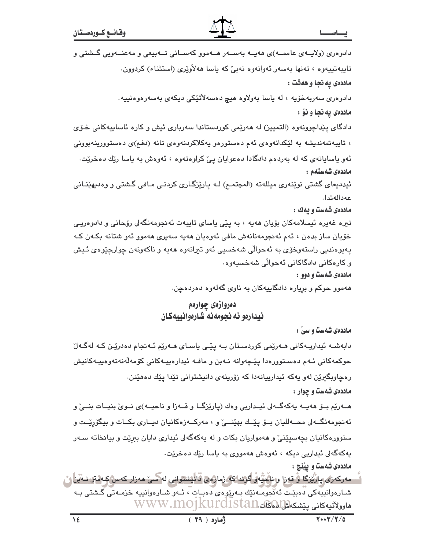|                                                    | دادوهری (ولایــهی عاممــه)ی ههیــه بهســهر هــهموو کهســانی تــهبیعی و مهعنــهویی گــشتی و |
|----------------------------------------------------|--------------------------------------------------------------------------------------------|
|                                                    | تايبەتييەوە ، تەنھا بەسەر ئەوانەوە نەبىّ كە ياسا ھەلاّۈيّرى (استثناء) كردوون.              |
|                                                    | ماددهى په نجا و ههشت :                                                                     |
| له ياسا بەولاوە ھيچ دەسەلأتێكى ديكەي بەسەرەوەنييە. | دادوەرى سەربەخۆيە ،                                                                        |
|                                                    | ماددهى په نجا و نۆ :                                                                       |
|                                                    | دادگای پێداچوونهوه (التمییز) له ههرێمی کوردستاندا سهرباری ئیش و کاره ئاساییهکانی خـوّی     |
|                                                    | ، تایبهتمهندیشه به لێکدانهوهی ئهم دهستورهو یهکلاکردنهوهی تانه (دفع)ی دهستوورینهبوونی       |
|                                                    | ئەو ياسايانەى كە لە بەردەم دادگادا دەعوايان پێ كراوەتەوە ، ئەوەش بە ياسا رێك دەخرێت.       |
|                                                    | ماددەى شەستەم :                                                                            |
|                                                    | ئیددیعای گشتی نوێنەری میللەتە (المجتمـع) لـه پارێزگـاری کردنـی مـافی گـشتی و وەدىھێنـانی   |
|                                                    | عەدالەتدا.                                                                                 |
|                                                    | ماددهی شهست و یهك :                                                                        |
|                                                    | تیره غەیرە ئیسلامەکان بۆیان ھەیە ، بە پێی یاسای تایبەت ئەنجومەنگەلى رۆحانی و دادوەریـی     |
|                                                    | خۆيان ساز بدەن ، ئەم ئەنجومەنانەش مافى ئەوەيان ھەيە سەيرى ھەموو ئەو شتانە بكەن كە          |
|                                                    | پەيوەندىي راستەوخۆى بە ئەحوالّى شەخسىي ئەو تىرانەوە ھەيە و ناكەونەن چوارچێوەى ئىيش         |
|                                                    | و کارەکانى دادگاکانى ئەحوالى شەخسىيەوە .                                                   |
|                                                    | ماددهی شهست و دوو :                                                                        |
|                                                    |                                                                                            |

ههموو حوکم و بریاره دادگاییهکان به ناوی گهلهوه دهردهچن.

### دەروازەي چوارەم ئيدارهو ئه نحومهنه شارهوانييهكان

ماددهی شهست و سی ْ :

دابەشـه ئیداریـهکانی مـهریمی کوردسـتان بـه پیّـی یاسـای مـهریم ئـهنجام دهدریّـن کـه لهگـهلّ حوکمهکانی ئـهم دەسـتوورەدا يێـڃەوانه نـﻪبن و مافـﻪ ئيدارەييـﻪکانی کۆمەڵەنەتەوەييـﻪکانيش رهچاوبگیرێن لهو یهکه ئیدارییانهدا که زۆرینهی دانیشتوانی تێدا یێك دهفێنن. ماددهی شهست و چوار :

هــهرێم بــۆ هەيــه يەكەگــەلى ئيــداريى وەك (پارێزگــا و قــەزا و ناحيــه)ى نــوێ بنيــات بنــێ و ئهنجومهنگــه لی محــهاللیان بـــوّ پێـــك بهێنــــیّ و ، مهركـــهزهكانیان دیــاری بكــات و بیگوّرِێــت و سنوورهکانیان بچهسیێنیٚ و ههمواریان بکات و له یهکهگهلی ئیداری دایان ببرێت و بیانخاته سـهر پهکهگهلی ئیداریی دیکه ، ئەوەش ھەمووی بە ياسا رێك دەخرێت.

ماددهي شهست و بيننج :

<sup>آ</sup> – مەركەزى پارْيُرْكَا ۋ قەزا و ناڭپُّبار گۆنداكە ژمارەي قان<mark>يشتوانى لە</mark>كسى مەزار كەس كىەمترىنى<sup>ت</sup>ن <mark>ئ</mark> شـارەوانىيەكى دەبێت ئەنْجومـەنێك بـەرپوەى دەبـات ، ئـەو شـارەوانىيە خزمـەتى گـشتى بـە مارولاتيەكانى پێشكەلتالالەكتە.www.mojkurdistan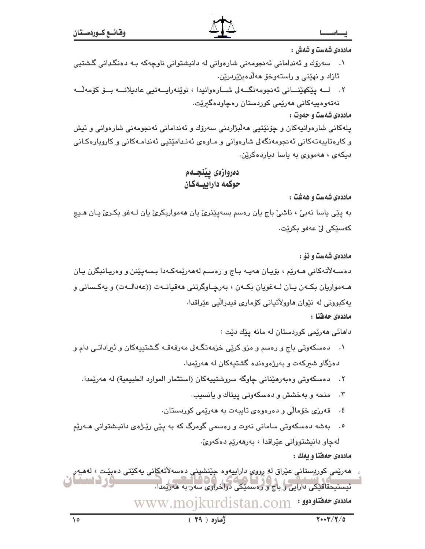ماددهی شهست و شهش :

- ۰۱ ــــ سەرۆك و ئەندامانى ئەنجومەنى شارەوانى لە دانپشتوانى ناوچەكە بـە دەنگدانى گىشتىي ئازاد و نهێنی و راستهوخو ههلّا مبژیردرین.
- ٢. لــه يێػهێنــاني ئەنجومەنگــەلى شــارەوانيدا ، نوێنەراپــەتيى عاديلانـــە بــۆ كۆمەڵــە نەتەرەبيەكانى ھەرێمى كوردستان رەچاردەگىرێت.

ماددهی شهست و حهوت :

يلهکاني شارهوانيهکان و چۆنێتيې ههڵبژاردني سهرۆك و ئەنداماني ئەنجومەنى شارەوانى و ئيش و کارەتايبەتەکانى ئەنجومەنگەلى شارەوانى و مـاوەي ئەنـدامێتيى ئەندامـەکانى و کاروپارەکـانى دیکهی ، ههمووی به یاسا دیاردهکرین.

دەروازەي يينجــەم حوكمه دارابيسهكان

ماددهی شهست و ههشت :

به ڀٽي ڀاسا نهبيٰ ، ناشيٰ باج ڀان رهسم بسهڀٽِنريٰ ڀان ههمواربکريٰ ڀان لـهغو بکـريٰ ڀـان هـڀچ كەسێكى لِّ عەفو بكرێت٠

ماددهی شهست و نهْ :

دەسـﻪلأتەكانى ھـﻪرێم ، بۆيـان ھەپـﻪ بـاج و رەسـم لەھەرێمەكـﻪدا بـسەپێنن و وەرپـانبگرن يـان هــهواريان بکـهن پـان لــهغويان بکـهن ، بهرچـاوگرتني ههقيانـهت ((عهدالـهت) و پهکـساني و يهکبوونی له نێوان هاوولاتيانی کۆماری فيدراليي عێراقدا. ماددەى حەفتا :

داهاتی هەرێمی کوردستان له مانه یێك دێت :

- ۰۱ د دسکهوتی باج و رهسم و مزو کرێی خزمهتگهلی مهرفهقـه گشتیپهکان و ئیراداتـی دام و دهزگاو شیرکهت و بهرژهوهنده گشتیهکان له ههریمدا.
	- ٢. دەسكەوتى وەبەرھێنانى چاوگە سروشتييەكان (استثمار الموارد الطبيعية) لە ھەرێمدا.
		- ۰۳ منحه و به خشش و دهسکهوتی بیتاك و یانسیب.
		- قەرزى خۆمالى و دەرەوەي تاپپەت بە ھەرپمى كوردستان.  $\cdot$  5
- بهشه دهسکهوتی سامانی نهوت و رهسمی گومرگ که به پێی رێـژه٤ دانیـشتوانی هــهرێم لهچاو دانيشتوواني عێراقدا ، بهرههرێم دهکهوێ.

ماددهی حهفتا و پهك :

مەرێمى كورپستانى عێراق لە ر*ووي د*اراييەوە جێنشپنى دەسەلاتە<u>ك</u>انى يەكێتى دەبێت ، لەميەر ئیستیحقاقتکی تارایی و باج و روسمتکی دواخراوی سه دیه ههریمدا. WWW.mojkurdistan.com • باددهى حهفتلودوو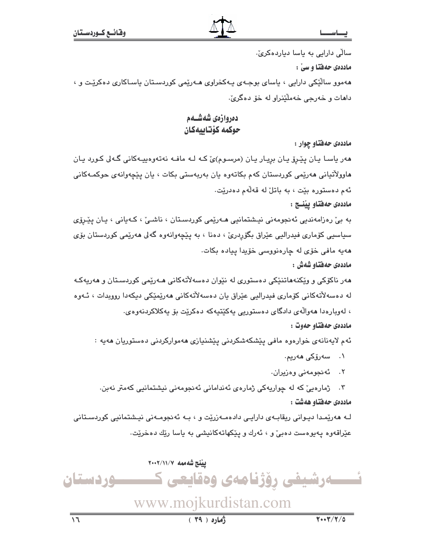سالی دارایی به یاسا دیاردهکریّ.

ماددهی حهفتا و سیّ :

ههموو سالٌّێکی دارایی ، یاسای بوجـهی یـهکخراوی هـهرێمی کوردسـتان یاسـاکاری دهکرێـت و ، دامات و خەرجى خەملايدراو لە خۆ دەگرىّ.

## دەروازەي شەشــەم حوكمه كۆتابيەكان

ماددهی حهفتاو چوار :

هەر ياسـا يـان پێـرێ يـان بريـار يـان (مرسـوم)ئ کـه لـه مافـه نهتهوهييـهکانى گـهلى کـورد يـان هاوولاتیانی هەرێمی کوردستان کەم بکاتەوە يان بەربەستی بکات ، يان يێچەوانەی حوکمـەکانی ئەم دەستورە بێت ، بە باتلٌ لە قەلّەم دەدرێت.

ماددهي حهفتاو يينسج :

به بيّ رەزامەندیی ئەنجومەنی نیشتمانیی ھـەرێمی کوردسـتان ، ناشـیّ ، کـەیانی ، یـان پێـرۆی سیاسیي کۆماری فیدرالیی عێراق بگۆردریؒ ، دەنا ، به پێڇەوانەوە گەلى ھەرێمی کوردستان بۆی هەيە مافى خۆى لە چارەنووسى خۆيدا ييادە بكات.

ماددەى حەفتاو شەش :

مەر ناكۆكى و ويكنەماتنىكى دەستورى لە نىوان دەسەلاتەكانى مـەرىمى كوردسـتان و مەريەكـە لە دەسەلاّتەكانى كۆمارى فيدراليى عێراق يان دەسەلاّتەكانى ھەرێمێكى دىكەدا روويدات ، ئـەوە ، لەويارەدا ھەوالەي دادگاي دەستوريى پەكێتپەكە دەكرێت بۆ پەكلاكردنەوەي. ماددەي حەفتاو حەوت :

ئەم لايەنانەي خوارەوە مافى پێشكەشكردنى پێشنيازى ھەمواركردنى دەستوريان ھەيە :

۰۱ سەرۆكى **م**ەرپم.

٢. ئەنجومەنى وەزيران.

۴. ژمارەيى كە لە چواريەكى ژمارەي ئەندامانى ئەنجومەنى نيشتمانيى كەمتر نەبن. ماددەي حەفتاو ھەشت :

لـه هەرێمـدا دیـوانی ریقابـەی دارایـی دادەمـەزرێت و ، بـه ئەنجومـەنی نیـشتمانیی کوردسـتانی عێراقەوە پەيوەست دەبىؒ و ، ئەرك و پێكھاتەكانيشى بە ياسا رێك دەخرێت.

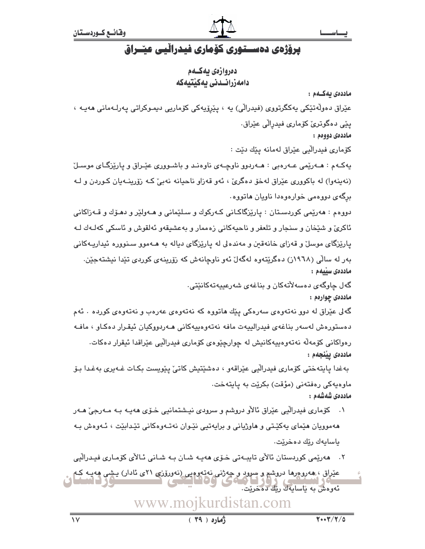## یرۆژەی دەسستوری كۆماری فیدرالّیی عیّـراق

دەروازەي يەكــەم دامەزرائىدنى يەكىتيەكە

ماددەي بەكــەم :

عێراق دەوڵەتێکى يەكگرتورى (فيدراڵى) يە ، پێرۆيەكى كۆمارىي دىمـوكراتى يەرلـەمانى ھەيـە ، يێی دەگوترێ کۆماری فیدرالّی عێراق٠

ماددەي دووەم :

كۆمارى فيدرالّيى عێراق لەمانە يێك دێت :

پهکـهم : هــهرێمی عــهرهبی : هــهردوو ناوچـهی ناوهنـد و باشـووری عێـراق و پارێزگـای موسـلٚ (نه ینهوا) له باکووری عیّراق لهخوّ دهگریّ ، ئهو قهزاو ناحیانه نهبیّ کـه زوّرینـهیان کـوردن و لـه برگەی دووەمی خوارەوەدا ناويان ھاتووە٠

دووهم : هەرێمی کوردسـتان : پارێزگاکـانی کـەرکوك و سـلێمانی و هـﻪولێر و دهـۆك و قـﻪزاکانی ئاکرێ و شێخان و سنجار و تلعفر و ناحیهکانی زهممار و بهعشیقهو ئهلقوش و ئاسکی کهلـهك لـه پارێزگای موسلٌ و قەزای خانەقىن و مەندەلى لە پارێزگای ديالە بە ھـﻪموو سـنوورە ئىداريـﻪكانى بهر له سالّی (۱۹٦۸ز) دهگریّتهوه لهگهلٌ ئهو ناوچانهش که روّرینهی کوردی تیّدا نیشتهجیّن. ماددەى سىّىمم :

> گەل چاوگەي دەسەلأتەكان و بناغەي شەرعىيەتەكانێتى. ماددهۍ چوارهم :

گەلى عێراق لە دوو نەتەوەي سەرەكى پێك ھاتووە كە نەتەوەي عەرەب و نەتەوەي كوردە ٠ ئەم دەستورەش لەسەر بناغەي فيدرالييەت مافە نەتەوەپيەكانى ھـەردووكيان ئيقـرار دەكـاو ، مافـە رەواكانى كۆمەڵە نەتەوەپيەكانىش لە چوارچێوەي كۆمارى فىدرالىي عێراقدا ئىقرار دەكات. ماددەى يېنجەم :

بەغدا پايتەختى كۆمارى فيدرالّيى عێراقەو ، دەشێتيش كاتىٚ پێويست بكـات غـەيرى بەغـدا بـۆ ماوەپەكى رەڧتەنى (مؤقت) بكريت بە ياپتەخت. ماددەى شەشەم :

۰۱ کۆماری فیدرالّیی عیّراق ئالأو دروشم و سرودی نیـشتمانیی خــۆی هەیــه بــه مــەرجیّ هــەر ههموویان هێمای پهکێـتی و هاوژیانی و برایهتیی نێـوان نهتـهوهکانی تێـدابێت ، ئــهوهش بـه باسايەك رێك دەخرێت.

۲. هەرێمى كوردستان ئالأى تايبـەتى خـۆى ھەيـە شـان بـە شـانى ئـالأى كۆمـارى فيـدرالّيى

عیراق ، هەرومرها دروشم و سرود و چەژنى نەتەرەبى (نەررۆزى ٢١ى ئادار) يىشى ھەيبە كيە<br>مەنباق ، ھەرومرها دروشم و سرود و چەژنى نەتەرەبى (نەررۆزى ٢١مىسى) ئەوەش بە ئاسابەك رتك دەخرتت.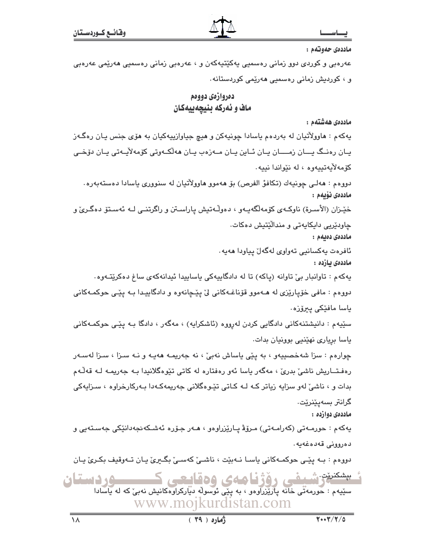ماددەي حەوتەم :

عەرەبى و كوردى دوو زمانى رەسمىي يەكێتيەكەن و ، عەرەبى زمانى رەسمىي ھەرێمى عەرەبى و ، كوردىش زمانى رەسمىي ھەرپمى كوردستانە .

### دەروازەي دووەم ماف و ئەركە بنيچەييەكان

ماددەى ھەشتەم :

يهکهم : هاوولاُتيان له بهردهم ياسادا چونيهکن و هيچ جياوازييهکيان به هۆی جنس يـان رهگـهز يـان رەنــگ يـــان زمــــان يـان ئــاين يـان مــەزەب يـان ھەلكــەوتى كۆمەلأيـەتى يـان دۆخــى كۆمەلأيەتىيەوە ، لە نێواندا نىيە.

دووهم : هەلـي چونيەك (تكافؤ الفرص) بۆ ھەموو ھاوولاتيان لە سنوورى ياسادا دەستەبەرە. ماددەى ئۆبەم :

خێـزان (الأسـرة) ناوکـهي کۆمهڵگهيـهو ، دهوڵـهتيش ياراسـتن و راگرتنــي لــه ئـهسـتۆ دهگـريّ و

چاودێریی دایکایەتی و مندالٚێتیش دەكات.

ماددەى دەبەم :

ئافرەت يەكسانيى تەواوى لەگەل يياودا ھەيە.

ماددەى بازدە :

پهکهم : تاوانبار بيّ تاوانه (پاکه) تا له دادگايپهکي پاسايپدا ئيدانهکهي ساغ دهکرێتـهوه٠

دووهم : مافي خۆپارێزي له هـﻪموو قۆناغـﻪكانى لى يێـچانەوه و دادگاپيـدا بـﻪ يێـي حوكمـﻪكانى ياسا مافێکی پيرۆزە٠

سێپهم : دانیشتنهکانی دادگایی کردن لهرووه (ئاشکرایه) ، مهگهر ، دادگا بـه یێـی حوکمـهکانی یاسا بریاری نهێنیی بوونیان بدات.

چوارهم : سزا شهخصييهو ، به يێی ياساش نهبیّ ، نه جهريمـه ههيـه و نـه سـزا ، سـزا لهسـهر رەفـتــاریش ناشىٰ بدرىٰ ، مەگەر ياسا ئەو رەفتارە لە كاتى تێوەگلانىدا بـە جەريمـە لـە قەڵـەم بدات و ، ناشیؒ لەو سزایە زیاتر کـﻪ لـﻪ کـاتی تێـوهگلانی جەریمەکـﻪدا بـﻪرکارخراوە ، سـزایەکی گرانٽر بسهيٽنريٽ.

ماددەي دوازدە :

يەكەم : حورمـﻪتى (كەرامـﻪتى) مـرۆۋ پـارێزراوەو ، ھـﻪر جـۆرە ئەشـكەنجەدانێكى جەسـتەيى و دەروونى قەدەغەيە.

دووهم : بـه پێـی حوکمـهکانی یاسـا نـهبێت ، ناشـی ککهسـی بگـیری یـان تـهوقیف بکـری یـان

بېشكنرنت شىنقى رۆژنامەي وەقايىمى ۸. د ستان سێڽۣهم : حُورمهْتُی خَانَه بِازْیُزْرَآوْهو ، به بِیّی نُوسوِلْه دیّارِکرآوهْکانیش نهبیْ که له بِآسادا www.mojkurdistan.com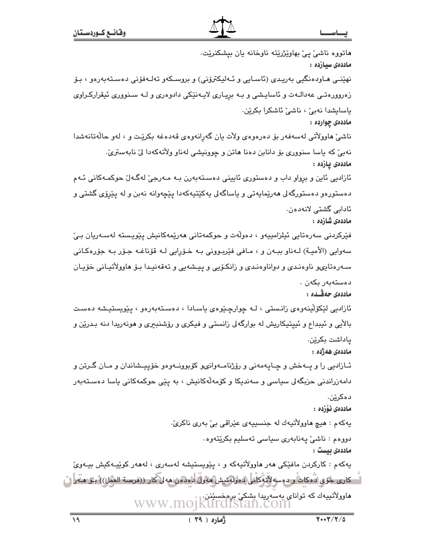ماتووه ناشیٰ پیْ بهاویٚژریْته ناوخانه یان بیشکنریْت. ماددەى سيازدە : نهێنــی مــاودەنگیـی بەریـدی (ئاسـایی و ئــەلیکترۆنی) و بروســکەو تەلــەفۆنی دەسـتەبەرەو ، بـۆ زهروورهتـي عهدالـهت و ئاسايـشي و بـه بريـاري لايـهنێكي دادوهري و لـه سـنووري ئيقراركـراوي ياسايشدا نەبى ، ناشى ئاشكرا بكرين. ماددهۍ چوارده : ناشيٌ هاوولاُتي لهسهفهر بوْ دەرەوەي ولات يان گەرانەوەي قەدەغە بكريْت و ، لەو حالّەتانەشدا نهبيّ که ياسا سنووري بوّ دانابن دهنا هاتن و چوونيشي لهناو ولاّتهکهدا ليّ نابهستريّ. ماددەى يازدە : ئازادیی ئاین و برواو داب و دەستوری ئايينی دەسـتەبەرن بـه مـەرجیّ لەگـەلّ حوکمـەکانی ئـەم دهستورهو دهستورگهلی هەریمایەتی و پاساگەلی پەکپتیەکەدا پیچەوانە نەبن و لە پیرۆی گشتی و ئادابى گشتى لانەدەن. ماددەى شازدە : فێرکردنی سەرەتايی ئیلزامییەو ، دەولەت و حوکمەتانی ھەرێمەکانیش پێویـستە لەسـەریان بـێ سەوايي (الأميـة) لـﻪناو ببـﻪن و ، مـافي فێربـووني بـﻪ خـۆرايي لـﻪ قۆناغـﻪ جـۆر بـﻪ جۆرەكـاني سـهرهتايۍو ناوهنـدی و دواناوهنـدی و زانکـۆيی و پيـشهيی و تهقهنيـدا بـۆ هاوولاٌتيـانی خۆيـان دەستەبەر بكەن . ماددەي جەقىدە : ئازادىي لێػۆڵينەوەي زانىستى ، لـە چوارچێوەي ياسـادا ، دەسـتەبەرەو ، يێويستيشە دەسـت بالأيي و ئيبداع و ئييتيكاريش له بوارگهلي زانستي و فيكري و رۆشنبىرى و هونەريدا دنه بـدرێن و ياداشت بكرين. ماددەى ھەژدە : ئــازاديي را و پـــهخش و چــايـهمهني و رۆژنامــهوانىو كۆبوونــهوهو خۆپـيــشاندان و مــان گــرتن و دامەزراندنى حزيگەلى سياسى و سەندىكا و كۆمەلەكانىش ، بە يێى حوكمەكانى ياسا دەسـتەبەر دەكرێن. ماددەى ئۆزدە : يهکهم : هيچ هاوولأتيهك له جنسييهي عيّراقي بيّ بهري ناکريّ. دووەم : ناشى پەنابەرى سياسى تەسليم بكرێتەوە. ماددەى بېست : پەكەم : كاركردن مافێكى ھەر ھاوولاتيەكە و ، پێويستيشە لەسەرى ، لەھەر كوێپـەكيش بيـەوێ " ڪاري جُوِّي ادهڪاڪ و دوسه لاته کاني د موله تيش ههول دمدمن هه لي کار ((فرصة العمل)) باز هــه را ٽ هاوولأتييهك كه تواناي بهسهريدا بشكيّ برهخسيّنن.<br>WWW.MOJKUTCIStan.COM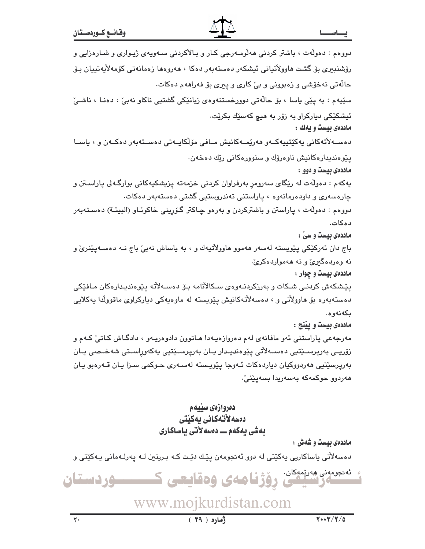| دووهم : دەولّەت ، باشتر كردنى ھەلومـەرجى كـار و بـالأكردنى سـەويەى ژيـوارى و شـارەزايى و     |  |  |
|----------------------------------------------------------------------------------------------|--|--|
| رۆشنىبىرى بۆ گشت ھاوولاتيانى ئىشكەر دەستەبەر دەكا ، ھەروەھا زەمانەتى كۆمەلايەتييان بىۆ       |  |  |
| حالّهتی نهخوّشی و زهبوونی و بیّ کاری و پیری بوّ فهراههم دهکات.                               |  |  |
| سێیهم : به پێی یاسا ، بۆ حالّەتی دوورخستنەوەی زیانێکی گشتیی ناکاو نەبیٚ ، دەنـا ، ناشـیٚ     |  |  |
| ئیشکێکی دیارکراو به زۆر به هیچ کهسێك بکرێت٠                                                  |  |  |
| ماددهی بیست و یهك :                                                                          |  |  |
| دەســەلأتەكانى يەكێتييەكــەو ھەرێمــەكانيش مــافى مۆلكايــەتى دەســتەبەر دەكــەن و ، ياســا  |  |  |
| پێوهندیدارهکانیش ناوهرۆك و سنوورهکانی رێك دهخهن.                                             |  |  |
| ماددهی بیست و دوو :                                                                          |  |  |
| يهکهم : دهولّهت له رێگای سهرومڕ بهرفراوان کردنی خزمهته پزیشکیهکانی بوارگـهلی پاراســتن و     |  |  |
| چارەسەرى و داودەرمانەوە ، پاراستنى تەندروستيى گشتى دەستەبەر دەكات.                           |  |  |
| دووهم : دەولّەت ، پاراستن و باشتركردن و بەرەو چـاكتر گـۆرپینى خاكوئـاو (البیئــة) دەســتەبەر |  |  |
| دەكات.                                                                                       |  |  |
| ماددەى بيست و سىٰ :                                                                          |  |  |
| باج دان ئەركێكى پێويستە لەسەر ھەموو ھاوولاٌتيەك و ، بە ياساش نەبىّ باج نـﻪ دەسـﻪپێنرێ و      |  |  |
| نه وهردهگیریٌ و نه ههمواردهکریٌ.                                                             |  |  |
| ماددهی بیست و چوار :                                                                         |  |  |
| پێـشکهش کردنـی شـکات و بهرزکردنـهوهی سـکالأنامه بـۆ دەســهلأته پێوەندیـدارەکان مـافێکی       |  |  |
| دەستەبەرە بۆ ھاوولاتى و ، دەسەلاتەكانيش پێويستە لە ماوەيەكى دياركراوى ماقوولدا يەكلايى       |  |  |
| بكەنەوە.                                                                                     |  |  |
| ماددهى بيست و پيّنج :                                                                        |  |  |
| مەرجەعى پاراستنى ئەو مافانەي لەم دەروازەيـەدا ھـاتوون دادوەريـەو ، دادگـاش كـاتىٚ كـەم و     |  |  |
| زۆريــى بەرپرســێتيى دەســەلأتى پێوەنديـدار يــان بەرپرســێتيى يەكەوراســتى شەخــصى يــان    |  |  |
| بەرپرسێتیی ھەردووکیان دیاردەکات ئـﻪوجا پێویسته لەسـﻪری حـوکمی سـزا یـان قـﻪرەبو یـان         |  |  |
| ھەردوو حوكمەكە بەسەريدا بسەپێنىٚ٠                                                            |  |  |
|                                                                                              |  |  |
| دەروازەى سىيەم<br>دەسەلأتەكانى يەكێتى                                                        |  |  |
| بەشى يەكەم ـــ دەسەلأتى ياساكارى                                                             |  |  |
| ماددهی بیست و شهش :                                                                          |  |  |
| دەسەلاّتى ياساكارىي يەكێتى لە دوو ئەنجومەن پێك دێت كـﻪ بـريتين لـﻪ پەرلـﻪمانى يـﻪكێتى و      |  |  |
| ئەنجىمەنى مەرپىمكان.<br><mark>ئىسس</mark> ەرلىنىڭ يۇۋ <b>نامەي ۋەقايىتى ك</b> ى<br>وردستان   |  |  |
| www.mojkurdistan.com                                                                         |  |  |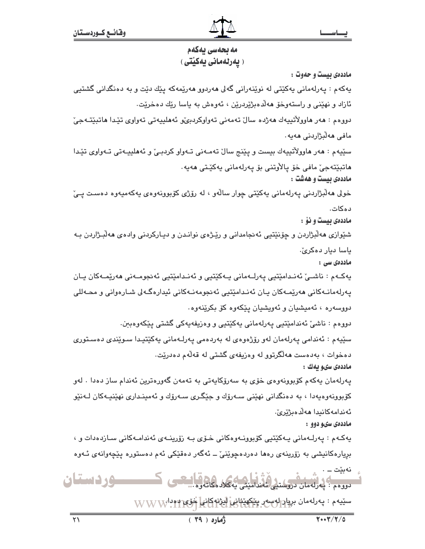## مه بحهسی بهکهم ( يەرلەمانى يەكيتى )

ماددهي بيست و حدوت : پهکهم : پهرلهمانی پهکێتی له نوێنهرانی گهلی ههردوو ههرێمهکه پێك دێت و به دهنگدانی گشتیی ئازاد و نهێنی و راستهوخو ههڵدهبژێردرێن ، ئهوهش به یاسا رێِك دهخرێت. دووهم : هەر هاوولاُتيپەك هەژدە سالٌ تەمەنى تەواوكردېێو ئەھليپەتى تەواوى تێدا ھاتبێتـﻪجىّ مافي ھەلىژاردنى ھەيە . سٽيهم : هەر هاوولاتييەك بيست و يێنج سالٌ تەمـەنى تـەواو كردېـێ و ئەھلييـەتى تـەواوى تێدا ماتبێتەجێ ماڧى خۆ پالأوتنى بۆ پەرلەمانى پەكێـتى مەيە٠ ماددهی بیست و ههشت : خولی هەلبژاردنی پەرلەمانی پەکێتی چوار سالەو ، لە رۆژی کۆبوونەوەی پەکەمپەوە دەست يے، دەكات. ماددهی بیست و نوْ : شێوازی ههڵبژاردن و چۆنێتیی ئەنجامدانی و رێـِژه٤ نوانـدن و دیـارکردنی وادهﺉ ههڵبـژاردن بـه ياسا ديار دەكرىؒ۰ ماددەى سى : پەكـﻪم : ناشــێ ئەنـﺪامێتيى پەرلـﻪمانى پـﻪكێتيى و ئەنـﺪامێتيى ئەنجومـﻪنى ھەرێمـﻪكان پـان پەرلەمانـﻪكانى ھەرێمـﻪكان يـان ئەنـﺪامێتيى ئەنجومەنـﻪكانى ئيدارەگـﻪلى شـارەوانى و محـﻪللى دووسەرە ، ئەميشيان و ئەويشيان يێكەوە كۆ بكرێنەوە. دووهم : ناشيٰ ئەندامێتيي پەرلەمانى پەكێتيى و وەزيفەپەكى گشتى پێكەوەببن. سێپهم : ئەندامى پەرلەمان لەو رۆژەوەي لە بەردەمى پەرلـەمانى پەكێتپدا سىوێندى دەسـتورى دهخوات ، بهدهست ههالگرتوو له وهزیفهی گشتی له قهالهم دهدریت. ماددەي سىو بەك : پەرلەمان يەكەم كۆبورنەوەي خۆي بە سەرۆكايەتى بە تەمەن گەورەترين ئەندام ساز دەدا . لەو کۆبوونەوەپەدا ، بە دەنگدانى نهێنى سـەرۆك و جێگـرى سـەرۆك و ئەمينـدارى نهێنيـەكان لـەنێو ئەندامەكانىدا ھەلدەبژێرێ. ماددهی سیو دوو : پەكـﻪم : پەرلـﻪمانى پـﻪكێتيى كۆبوونـﻪوەكانى خـۆى بـﻪ زۆرپنـﻪى ئەندامـﻪكانى سـازدەدات و ، بريارەكانيشى بە زۆرينەى رەھا دەردەچوێنىٚ ــ ئەگەر دەقێكى ئەم دەستورە يێچەوانەى ئـەوە نەبێت ــــ . **-وردستان** دووهم : بهرلهمان دروستنی ئهندار سێڽەم : پەرلەمان بريا<del>ر</del>ولەسەر پ<u>ێ</u>كهێؿاڧ<mark>، ڵؽڗ۫نەكانى خۆپ د</mark>ەدار $_{\rm VNNNN}$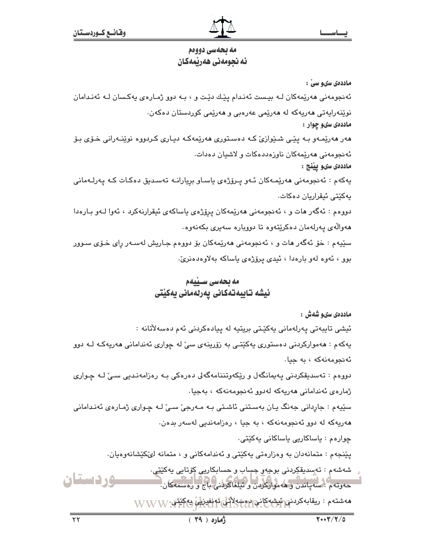## مه بحه سي دوودم ئه نجومەنى ھەرپمەكان

ماددەي سىو سى :

ئەنجومەنى ھەرێمەكان لـﻪ بيـست ئەنـدام يێك دێت و ، بـﻪ دوو ژمـارەي يەكـسان لـﻪ ئەنـدامان نوێنەرايەتى ھەريەكە لە ھەرێمى عەرەبى و ھەرێمى كوردستان دەكەن. ماددهي سيو چوار : هەر ھەرپمەو بـﻪ يێـﻰ شـێوازێ كـﻪ دەسـﺘﻮرى ھەرپمەكـﻪ ديـارى كـردووه نوپنـﻪرانى خـۆى بـۆ ئەنجومەنى ھەرێمەكان ناوزەددەكات و لاشيان دەدات. ماددەي سىو يېنج : پەكەم : ئەنجومەنى ھەرێمەكان ئـەو پـرۆژەي ياسـاو بريارانـە تەسـدىق دەكـات كـە پەرلـەمانى پەكێتى ئېقراريان دەكات. دووهم : ئەگەر ھات و ، ئەنجومەنى ھەرێمەكان يرۆژەي ياساكەي ئيقرارنەكرد ، ئەوا لـەو بـارەدا هەوالەي پەرلەمان دەكريتەوە تا دوويارە سەيرى بكەنەوە. سٽِيهم : خۆ ئەگەر مات و ، ئەنجومەنى مەرێمەكان بۆ دووەم جـاریش لەسـەر رای خـۆی سـوور بوو ، ئەوە لەو بارەدا ، ئېدى پرۆژەي ياساكە بەلاوەدەنرىّ.

## مه بحهسی سینیهم ئيشه تايبەتەكانى پەرلەمانى يەكێتى

# ماددەي سىم شەش : ئيشى تايبەتى يەرلەمانى يەكێتى بريتيە لە ييادەكردنى ئەم دەسەلآتانە : پهکهم : ههموارکردنی دهستوری پهکێتی به زۆرپنهی سیّ له چواری ئهندامانی ههرپهکه لـه دوو ئەنجومەنەكە ، يە جيا. دووهم : تەسدىقكردنى يەيمانگەل و رێكەوتننامەگەلى دەرەكى بـە رەزامەنـدىي سـێ لـە چـوارى ژمارەي ئەندامانى ھەرپەكە لەدور ئەنجومەنەكە ، بەجيا . سێپهم : جاردانی جەنگ پـان بەسـتنی ئاشـتی بـه مـەرجیٚ سـیٚ لـه چـواری ژمـارەی ئەنـدامانی هەرپەكە لە دوو ئەنجومەنەكە ، بە جيا ، رەزامەندىي لەسەر بدەن. چوارەم : ياساكارىي ياساكانى يەكێتى٠ يێنجهم : متمانهدان به وهزارهتی پهکێتی و ئهندامهکانی و ، متمانه لێکێشانهوهيان. شەشەم : تەسدىقكردنى بوجەر چساب ر حسابكارىي كۆتايى يەكێتى٠ وردستان حەوتەم : سەياندن و ھەمواركردن و ئيلغاكردنى باج و رەسمەكان. مەشتەم : ريقابەكردنى ئېشەكانى روښەلاتل تەنفىزىل پەكتتى. WWW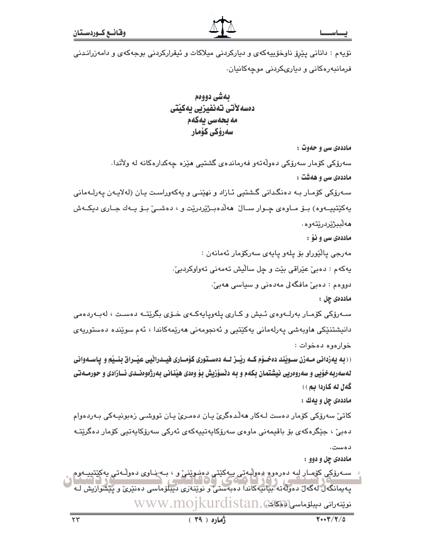نۆيەم : دانانى يێرۆ ناوخۆيپەكەي و دياركردنى ميلاكات و ئيقراركردنى بوجەكەي و دامەزرانـدنى فرمانبهرهکانی و دیاریکردنی موجهکانیان.

> بەشى دووەم دەسەلأتى تەنفيزيى يەكێتى مه بحهسی پهکهم سەرۆكى كۆمار

ماددهی سی و حدوت : سەرۆكى كۆمار سەرۆكى دەولّەتەو فەرماندەي گشتيى ھێزە چەكدارەكانە لە ولأتدا. ماددهی سی و ههشت : سـهرۆکی کۆمـار بـه دەنگـدانی گـشتيی ئـازاد و نهێنـی و پهکهوراسـت پـان (لهلاپـهن پـهرلـهمانی پەكێتپپـەوە) بــۆ مــاوەی چــوار ســالْ ھەلْدەبــژێردرێت و ، دەشــێ بــۆ پــەك جــاری دیكــەش **م**ەلبىژێردرێتەوە ماددهی سی و نوْ : مەرجى پالٽوراو بۆ يلەو پايەي سەركۆمار ئەمانەن : يهکهم : دەبى عيراقى بيت و چل ساليش تەمەنى تەواوكردبى . دووهم : دەبىؒ مافگەلى مەدەنى و سياسى ھەبىؒ · ماددەى چل : سـﻪرۆكى كۆمـار بەرلـﻪوەي ئـﭽش و كـارى پلەوپاپەكـﻪى خـۆى بگرێتـﻪ دەسـت ، لەبـﻪردەمى دانيشتنٽِکي ماويهشي پهرلهماني پهکٽِتيي و ئهنجومهني مهرٽِمهکاندا ، ئهم سوٽِنده دهستوريهي خواردوه دهخوات: (( به پهزدانی مـهزن سـویّند دهخـوّم کـه ریّـز لـه دهسـتوری کوّمــاری فیــدراثیی عیّــراق بنــیّم و پـاسـهوانی لهسهربهخوّیی و سهروهریی نیشتمان بکهم و به دنسوّزیش بوّ وهدی هیّنانی بهرژهوهنــدی ئــازادی و حورمــهتی گەل لە كاردا بم)) ماددهي چل و يهك : کاتیٚ سەرۆکی کۆمار دەست لـﻪکار ھەڵدەگریٚ يـان دەمـریٚ يـان تووشـی زەبونيـﻪکی بـﻪردەوام دەبى ، جێگرەكەي بۆ باقىمەنى مارەي سەرۆكاپەتىيەكەي ئەركى سەرۆكاپەتىي كۆمار دەگرێتـﻪ دەست. ماددهي جل و دوو :

سهرۆكى كۆمار كه دەرەوە يەولپەتى يەكێتى دەشوێنى و ، بـه نـاوى دەولّـەتى يەكێتپيـەوە په یمانگەل لەگەل دەرلەتە بېيانيەكاندا دەبەستى و نوێنائىرى دىيىلۆماسى دەنێرى و پێشواریش لـه ىن ئەينەرانى دىيلۇماسى (كەكككە) . WWW.MOIKUrdistan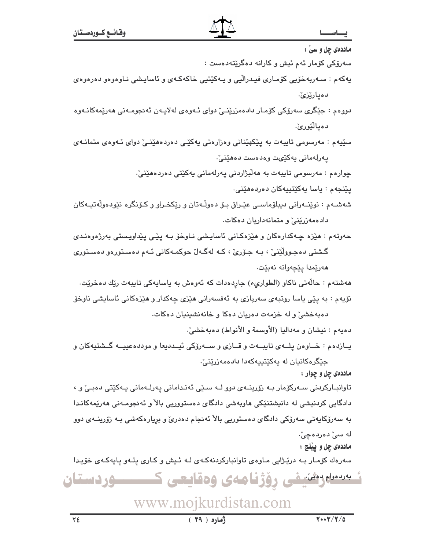يسسارشيفي رؤژنامەي وەقايعى كـــــوردستان

ماددهي چل و پيٽنج : سهرهك كۆمـار بــه درێـِژايى مـاوەی تاوانباركردنهكـهى لــه ئـيش و كـارى پـلـهو پايهكـهى خۆيـدا

ماددهي چل و چوار : تاوانبـارکردنی سـهرکۆمار بـه زۆرپنـهى دوو لـه سـێی ئەنـدامانی پـهرلـهمانی پـهکێتی دەبـیٚ و ، دادگایی کردنیشی له دانیشتنێکی هاوبهشی دادگای دهستووریی بالآ و ئهنجومـهنی ههرێمهکانـدا به سەرۆکايەتى سەرۆکى دادگاى دەستورىي بالاْ ئەنجام دەدرىّ و برِيارەکەشى بـە زۆرينــەى دوو له سیّ دەردەچیؒ۰

يـازدهم : خـاوهن پلــهى تايبــهت و قــازى و ســهرۆكى ئيــدديعا و موددهعييــه گــشتيهكان و جێگرەكانيان لە پەكێتىپەكەدا دادەمەزرێنىٚ.

دهيهم : نيشان و مهداليا (الأوسمة و الأنواط) دهبهخشيّ.

هەشتەم : حالّەتى ناكاو (الطوارىء) جاردەدات كە ئەوەش بە ياسايەكى تايبەت رێك دەخرێت. نۆيەم : بە پێی ياسا روتبەی سەربازی بە ئەفسەرانی ھێزی چەكدار و ھێزەكانی ئاسايشى ناوخۆ دهبهخشیؒ و له خزمهت دهریان دهکا و خانهنشینیان دهکات.

حەوتەم : ھێزە چەكدارەكان و ھێزەكانى ئاسايشى نـاوخۆ بـە يێى يێداويستى بەرژەوەندى گشتی دهجـوولٌٽِنـیٰ ، بـه جـۆریُ ، کـه لهگـهانّ حوکمـهکانی ئـهم دهسـتورهو دهسـتوری هەرێمدا يێڇەوانە نەبێت.

يٽنجهم : ياسا يهکٽِتيپهکان دەردەھێنى. شهشـهم : نوێنـهراني ديبلۆماسـي عێـراق بـۆ دەوڵـهتان و رێڬخـراو و کـۆنگره نێودەوڵەتيــهکان دادهمەزرینیؒ و متمانەداریان دەكات.

سێپهم : مەرسومى تايبەت بە پێکهێنانى وەزارەتى پەکێى دەردەھێنىێ دواى ئـەوەى متمانـەى يەرلەمانى يەكێىت وەدەست دەھێنىٚ.

دەيارێزێ٠ دووهم : جێگری سەرۆکی کۆمـار دادەمزرێنــێ دوای ئــەوەی لەلايـەن ئەنجومـەنی ھەرێمەکانـەوە

دەيالٽورئ.

پەكەم : سـەربەخۆپى كۆمـارى فيـدراڵيى و پـەكێتپى خاكەكـەي و ئاساپـشى نـاوەوەو دەرەوەي

چوارەم : مەرسومى تايبەت بە ھەلىژاردنى يەرلەمانى يەكێتى دەردەھێنىٚ٠

سەرۆكى كۆمار ئەم ئىش و كارانە دەگرێتەدەست :

ماددهي چل و سيّ :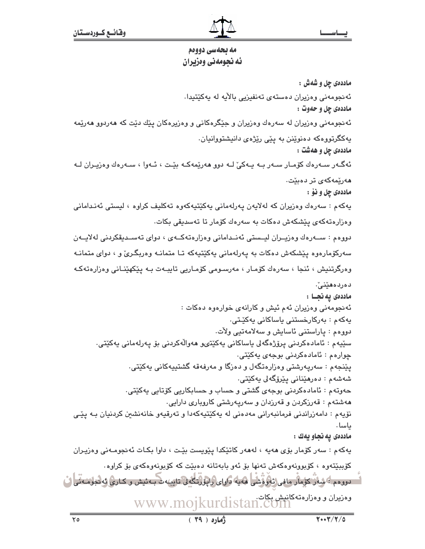## مه بحه سي دوودم ئه نجومهني ومزيران

ماددهى چل و شەش : ئەنجومەنى وەزيران دەستەي تەنفيزيى بالآيە لە بەكٽتىدا. ماددهي چل و حهوت : ئهنجومهنی وهزیران له سهرهك وهزیران و جێگرهکانی و وهزیرهکان یێك دێت كه ههردوو ههرێمه پهکگرتووهکه دهنوێنن به پێی رێژهی دانیشتووانیان. ماددهي چل و ههشت : ئەگـەر سـەرەك كۆمـار سـەر بـە يـەكىٚ لـە دوڧ ھەرێمەكـە بێـت ، ئـەوا ، سـەرەك وەزيـران لـە ھەرێمەكەي تر دەبێت. ماددهي چل و نۆ : يەكەم : سەرەك وەزيران كە لەلايەن يەرلەمانى يەكێتيەكەوە تەكليف كراوە ، ليستى ئەندامانى وەزارەتەكەى پێشكەش دەكات بە سەرەك كۆمار تا تەسدىقى بكات. دووهم : ســهردك ودزيــران ليــستى ئەنــدامانى ودزارەتەكــهى ، دواى تەســديقكردنى لەلايــەن سهرکۆمارەوە يێشکەش دەکات بە يەرلەمانى يەکێتيەکە تـا متمانـه وەربگـرىّ و ، دواى متمانـه وەرگرتنیش ، ئنجا ، سەرەك كۆمـار ، مەرسىومى كۆمـاریى تايبـەت بـە يێكھێنـانى وەزارەتەكـە دەردەھێنى ٚ٠ ماددەى يەنجـا : ئهنجومهنی وهزیران ئهم ئیش و کارانهی خوارهوه دهکات : پەكەم : بەركارخستنى ياساكانى پەكێـتى٠ دووەم : پاراستنى ئاسايش و سەلامەتيى ولأت. سێڀەم : ئامادەكردنى يرۆژەگەلى ياساكانى يەكێتىو ھەواڵەكردنى بۆ پەرلەمانى يەكێتى٠ چوارهم : ئامادەكردنى بوجەي يەكێتى٠ پێنجهم : سەرپەرشتى وەزارەتگەل و دەزگا و مەرفەقە گشتېيەكانى بەكێتى. شەشەم : دەرمێنانى يێرۆگەلى پەكێتى٠ حەوتەم : ئامادەكردنى بوجەي گشتى و حساب و حسابكارىي كۆتايى يەكێتى٠ ههشتهم : قهرزکردن و قهرزدان و سهريهرشتي کاروباري دارايي. نۆيەم : دامەزراندنى فرمانبەرانى مەدەنى لە يەكێتپەكەدا و تەرقپەو خانەنشىن كردنيان بـە يێـى ياسا . ماددهى يه نجاو يهك : پهکهم : سهر کۆمار بۆی هەپه ، لەهەر کاتێکدا پێویست بێت ، داوا بکـات ئەنجومـەنى وەزيـران کۆبېێتەوە ، کۆبوونەوەکەش تەنھا بۆ ئەو بابەتانە دەبێت کە کۆبونەوەکەي بۆ کراوە. ا دوووم ؟ شِهْرٌ کوْمار مافی نَهْوهْشَی هُهیه داوای رایوْرْتگُه لی تایینه ت بـه نیش و کـاری نه نجوهـه نی ل وەزىران و وەزارەتەكانىش بكات.<br>WWW.mojkurdistan.com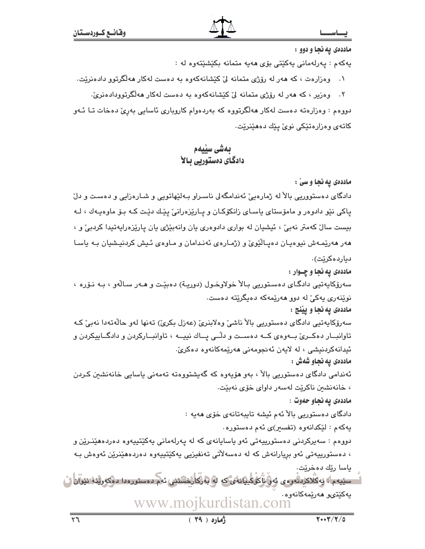ماددهي يه نجا و دوو :

يەكەم : يەرلەمانى يەكێتى بۆى ھەيە متمانە بكێشێتەوە لە :

وهزارهت ، که ههر له رۆژی متمانه لیٰ کێشانهکهوه به دهست لهکار ههڵگرتوو دادهنرێت.  $\cdot$ 

۲. وەزیر ، که هەر له رۆژی متمانه لیٰ کَیْشانەکەوە بە دەست لەکار ھەلگرتوودادەنریؒ. دووهم : وهزارهته دهست لهکار ههالگرتووه که بهردهوام کاروباری ئاسایی بهرِیِّ دهخات تـا ئـهو کاتەي وەزارەتێکى نوێ يێك دەھێنرێت.

## بەشى سێيەم دادگای دهستوریی سالا

#### ماددهی یه نجا و سیّ :

دادگای دهستووریی بالآ له ژمارهییّ ئەندامگەلی ناسـراو بـﻪلێهاتویی و شـارەزایی و دەسـت و دلّ پاکي نێو دادوهر و مامۆستاي پاسـاي زانکۆکـان و پـارێزەرانیٚ پێـك دێـت كـه بـۆ ماوەپـەك ، لـه بیست سال کهمتر نهبی ، ئیشیان له بواری دادوهری یان وانهبیّژی یان یاریّزهرایهتیدا کردبی و ، هەر ھەرپمەش نيوەيان دەيـالْيُويْ و (ژمـارەي ئەنـدامان و مـاوەي ئـيش كردنيـشيان بـه ياسـا دياردەكرێت). ماددهی يه نجا و چــوار : سەرۆكايەتيى دادگـاى دەسـتوريى بـالاْ خولاوخـول (دوريـة) دەبێت و ھـەر سـالّەو ، بـە نـۆرە ، نوێنەرى پەكىٚ لە دوڧ ھەرێمەكە دەپگرێتە دەست. ماددهی يه نجا و يينج : سەرۆكايەتيى دادگاى دەستوريى بالاْ ناشى وەلابنرىٰ (عەزل بكرىٰ) تەنھا لەو حالەتەدا نەبىٰ كـە تاوانبــار دهکــرئ بــهوهى کــه دهســت و دلّــى يــاك نييــه ، تاوانبــارکردن و دادگــاييکردن و ئيدانەكردنيشى ، لە لايەن ئەنجومەنى ھەرپمەكانەوە دەكرىّ. ماددهی په نجاو شهش : ئەندامی دادگای دەستورىي بالآ ، بەو ھۆپەوە كە گەيشتووەتە تەمەنى ياسايى خانەنشىن كـردن ، خانەنشىن ناكريت لەسەر داواي خۆي نەبيّت. ماددهی به نجاو حهوت : دادگای دەستورىي بالآ ئەم ئېشە تايبەتانەي خۆي ھەيە : يەكەم : لێكدانەوە (تف*سير)ى* ئەم دەستورە. دووهم : سەپركردنى دەستورىيەتى ئەو ياسايانەي كە لە يەرلەمانى يەكێتيپەوە دەردەھێنـرێن و ، دەستورىيەتى ئەو بريارانەش كە لە دەسەلاتى تەنفىزىي پەكێتىپەوە دەردەھێنرێن ئەوەش بە ياسا رێك دەخرێت٠ لـــسێپەم) پەكلاكرىڭەرەي ئەۋ ئاڭرىيپانەي كە لە بەركارخشتنى ئەم دەستررەدا دەكەرپتە نتوآن ڭ پەكێتىٯ ھەرێمەكانەوە٠ www.mojkurdistan.com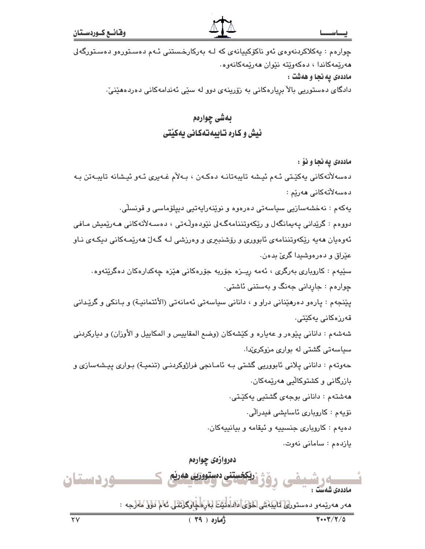#### يصاسد

چوارهم : پهکلاکردنهوهی ئهو ناکۆکیپانهی که لـه بهرکارخستنی ئـهم دهسـتورهو دهسـتورگهلی هەرێمەكاندا ، دەكەوێتە نێوان ھەرێمەكانەوە. ماددهی یه نجا و ههشت :

دادگای دەستورىي بالاْ بريارەكانى بە زۆرينەی دوو لە سێی ئەندامەكانى دەردەھێنىٚ٠

## بهشي چوارهم ئیش و کاره تـایبهتهکانی یهکیتی

ماددهى يه نجا و نوْ :

دەسەلاتەكانى يەكێتى ئەم ئيشە تايبەتانـە دەكـەن ، بـەلاّم غـەيرى ئـەو ئيشانە تايبـەتن بـە دەسەلآتەكانى ھەرێم :

پەكەم : نەخشەسازىي سياسەتى دەرەوە و نوێنەراپەتىي دىيلۆماسى و قونسلاي.

دووهم : گرێدانی پەيمانگەل و رێکەوتننامەگەلى نێودەوڵەتى ، دەسـەلأتەکانى ھـەرێميش مـافى ئەوەيان ھەيە رێکەوتننامەي ئابووري و رۆشنبېري و وەرزشى لـە گـەلْ ھەرێمـەکانى دىكـەي نـاو عێراق و دەرەوشىدا گرىّ بدەن.

سٽيهم : کاروياري بهرگري ، ئهمه ريــزه جۆريه جۆرەکاني هێزه چهکدارەکان دەگرێتەوه٠ چوارهم : جاردانی جهنگ و بهستنی ئاشتی.

پێنجهم : پارهو دهرهێنانی دراو و ، دانانی سیاسهتی ئهمانهتی (الأئتمانیـة) و بـانکی و گرێدانی قەرزەكانى پەكێتى.

شهشهم : داناني پێوهر و عهياره و کێشهکان (وضع المقاپيس و المکاپيل و الأوزان) و ديارکردني سیاسهتی گشتی له بواری مزوکریٌدا.

حەوتەم : دانانى يلانى ئابووريى گشتى بـه ئامـانجى فراژوكردنـى (تنميـة) بـوارى پيـشەسازى و بازرگانی و کشتوکالّیی ههریمهکان. هەشتەم : دانانى بوجەي گشتيى يەكێتى.

نۆپەم : كاروپارى ئاسايشى فېدرالى.

دهيهم : کاروباری جنسييه و ئيقامه و بيانييهکان.

يازدهم: سامانی نهوت.

دەروازەي چوارەم <u>کخستنی دمستووریی ههرنم</u> ک وردستان ھەر ھەرپمەو دەستورلى لىليىنى لىلىش لىلىشى ئىلمىنىڭ ئىلىپ ئىلىشى ئىلىلىنى ئىلىشى ئىلىلىنى :  $\sqrt{4.47/T/a}$  $(79)$  (ماره)  $\forall$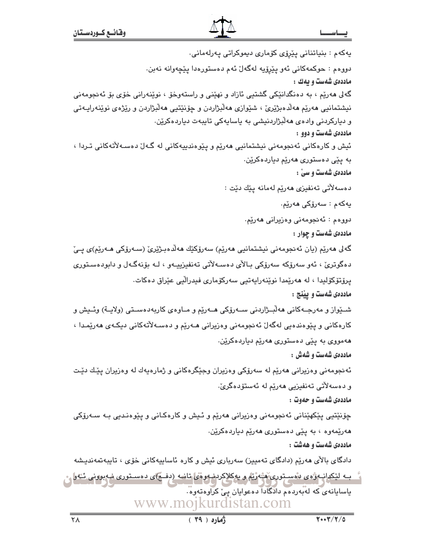يەكەم : بنياتنانى يێرۆى كۆمارى ديموكراتى يەرلەمانى. دووهم : حوکمهکاني ئهو پێرۆپه لهگهلٌ ئهم دهستورهدا پێچهوانه نهبن. ماددهی شهست و یهك : گهلی ههریم ، به دهنگدانتیکی گشتیی ئازاد و نهینی و راستهوخو ، نوینهرانی خوّی بو ئهنجومهنی نيشتمانيي مەريم مەلدەبژيري ، شيوازي مەلبژاردن و چۆنيتيي مەلبژاردن و ريژەي نوينەراپـەتى و ديارکردني وادهي ههلابژاردنيشي به ياسايهکي تايبهت دياردهکرێن. ماددهی شهست و دوو : ئيش و کارهکانی ئەنجومەنی نیشتمانیی هەرێم و پێوەندىيەکانی لە گەل دەسـەلاتەکانی تـردا ، به پێی دەستوری ھەرێم دیاردەكرێن. ماددهي شُهست و سيٰ : دەسەلأتى تەنفيزى ھەرێم لەمانە يێك دێت : يەكەم : سەرۆكى ھەرێم. دووهم : ئەنجومەنى وەزيرانى ھەرێم. ماددهی شهست و چوار : گەلى ھەرپە (يان ئەنجومەنى نېشتمانيى ھەرپم) سەرۆكێك ھەلدەبىژپرى (سـەرۆكى ھـەرپم)ى يـئ دهگوترئ ، ئەو سەرۆكە سەرۆكى بـالأى دەسـەلأتى تەنفىزىيـەو ، لـە بۆنەگـەل و دابودەسـتورى يرۆتۆكۆليدا ، لە ھەرێمدا نوێنەرايەتيى سەركۆمارى فيدراليى عێراق دەكات. ماددهى شەست و پيننج : شــێواز و مەرجــەکانى ھەڵبــژاردنى ســەرۆکى ھــەرێم و مــاوەي کاربەدەســتى (ولايــة) وئــيش و کارەکانى و يێوەندەيى لەگەلٚ ئەنجومەنى وەزيرانى ھـﻪرێم و دەسـﻪلاّتەکانى دىكـﻪى ھەرێمـدا ، ههمووي به يێي دهستوري ههرێم دياردهکرێن. ماددهی شهست و شهش : ئەنجومەنى وەزيرانى ھەرێم لە سەرۆكى وەزيران وجێگرەكانى و ژمارەيەك لە وەزيران يێك دێت و دەسەلاتى تەنفېزىي ھەرپم لە ئەستۆدەگرىّ. ماددهی شهست و حهوت : چۆنێتیی پێکهێنانی ئەنجومەنی وەزیرانی ھەرێم و ئـیش و کارەکـانی و پێوەنـدیی بـه سـەرۆکی هەرێمەوە ، بە يێى دەستورى ھەرێم دياردەكرێن. ماددهی شهست و ههشت : دادگای بالای هەریم (دادگای تەمیین) سەرباری ئیش و کاره ئاساييەكانی خۆی ، تايبەتمەنديشە گ بــه لێکدانــه ژهى بهْســِتورى هَشَّهُرْيَمْ و بِهِکلاکردنـه وهى تانــه (دفــج)ى دهسـتورى نـه بوونى ئــُه وا یاسایانهی که لهبهردهم دادگادا ده عوایان پی کراوهتهوه. www.mojkurdistan.com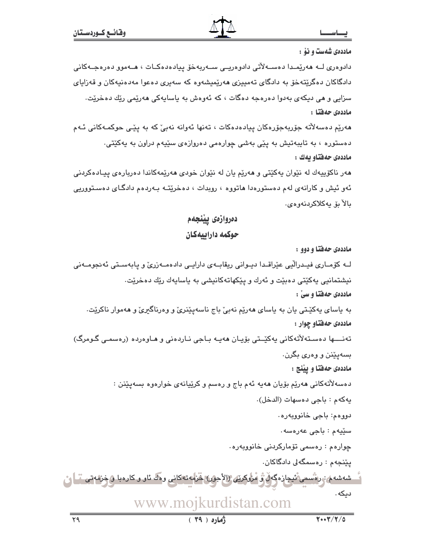ماددهی شهست و نوْ :

دادوەرى لــه ھەرێمــدا دەســەلاتى دادوەريــى ســەريەخۆ بـيادەدەكــات ، ھــەموو دەرەجــەكانى دادگاکان دهگریتهخو به دادگای تهمییزی ههریمیشهوه که سهیری دهعوا مهدهنیهکان و قهزایای سزايي و هي ديکهي بهدوا دهرهجه دهگات ، که ئهوهش به پاسايهکي ههرێمي رێك دهخرێت٠ ماددەي حەفتا :

هەرێم دەسەلاّتە جۆربەجۆرەكان پيادەدەكات ، تەنھا ئەوانە نەبیٚ كە بە پێی حوكمـەكانی ئـەم دهستوره ، به تایبهتیش به یێی بهشی چوارهمی دهروازهی سێیهم دراون به یهکێتی٠ ماددەى حەفتاو بەك :

هەر ناكۆپيەك لە نێوان پەكێتى و ھەرێم يان لە نێوان خودى ھەرێمەكاندا دەريارەي پيـادەكردنى ئهو ئيش و کارانهى لهم دەستورەدا ھاتووە ، روبدات ، دەخرێتــه بــهردەم دادگــاى دەســتووريى ىالا ئۆيەكلاكردنەوەي.

> دەروازەي يينجەم حوكمه داراييهكان

> > ماددهی حهفتا و دوو :

لــه كۆمــارى فيــدرالّيى عێراقــدا ديــوانى ريقابــهى دارايــى دادەمـــهزرىّ و پابەســتى ئەنجومــەنى نيشتمانيي پهکێتي دهبێت و ئەرك و پێکهاتهکانيشي به پاساپەك رێك دەخرێت. ماددهی حهفتا و سیّ : به پاسای پهکێـتی پان به پاسای ههرێم نهبیٚ باج ناسهپێنریٚ و وهرناگیریٚ و ههموار ناکرێت٠ ماددهی حهفتاو چوار : تەنــــها دەسـتەلأتەكانى يەكێــتى بۆيـان ھەيـە بـاجى نـاردەنى و ھـاوەردە (رەسمـى گـومرگ) بسهيێنن و وهري بگرن. ماددهی حهفتا و پینج : دەسەلأتەكانى ھەرپم بۆيان ھەيە ئەم باج و رەسم و كرپّيانەي خوارەوە بسەيێنن : يەكەم: باجى دەسھات (الدخل). دووهم: باجي خانووبهره. سێڀهم : باجي عهرهسه٠ چوارەم : رەسمى تۆماركردنى خانووبەرە . يێنجەم : رەسمگەلى دادگاكان. شەشەم، رەنسمى ئىجازەگەل ۋ مروكىتى (الأجون خَرماتەكانى وەل ئاو و كارەبا ۋ خزمەتى ، ) ر دیکه . www.mojkurdistan.com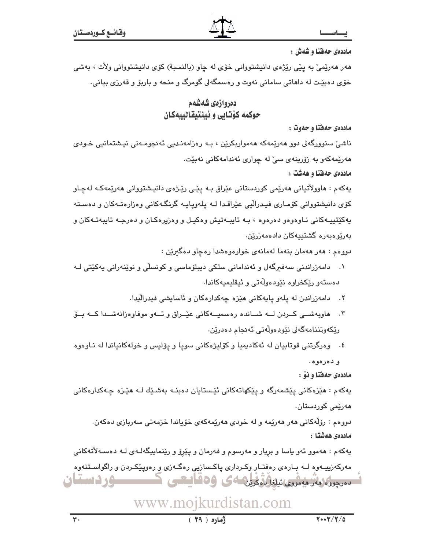ماددهی حدفتا و شدش :

هەر ھەرپميّ بە يێي رێژەي دانيشتوواني خۆي لە چاو (بالنسبة) كۆي دانيشتوواني ولاّت ، بەشى خۆی دهبێت له داهاتی سامانی نهوت و رهسمگهلی گومرگ و منحه و باربۆ و قهرزی بیانی.

### دهروازهي شهشهم حوكمه كۆتابى و ئينتيقالييەكان

ماددهی حهفتا و حهوت :

ناشیٰ سنوورگەلی دوو ھەرێمەکە ھەمواریکرێن ، بـه رەزامەنـدیی ئەنجومـەنی نیـشتمانیی خـودی هەرێمەكەو بە زۆرپنەى سىٚ لە چوارى ئەندامەكانى نەبێت. ماددهی حهفتا و ههشت :

پهکهم : هاوولاٌتیانی هەرێمی کوردستانی عێراق بـه پێی رێـِژهی دانیـشتووانی هەرێمەکـه لەچـاو کۆی دانیشتووانی کۆمـاری فیـدرالْیی عیْراقـدا لــه پلهوپایـه گرنگـهکانی وهزارهتـهکان و دهسـته پهکێتپیـهکانی نـاوهوهو دهرهوه ، بـه تایبـهتیش وهکیـل و وهزیرهکـان و دهرجـه تایبهتـهکان و بەريوەبەرە گشتىيەكان دادەمەزرين.

دووهم : هەر هەمان بنەما لەمانەي خوارەوەشدا رەچاو دەگيرێن :

- ۰۱ دامەزراندنی سەفىرگەل و ئەندامانی سلكی دیبلۆماسی و كونسلّى و نوێنەرانی يەكێتى ك دەستەو رێكخراوە نێودەولّەتى و ئيقليميەكاندا.
	- ۲. دامهزراندن له پلهو پایهکانی هیّزه چهکدارهکان و ئاسایشی فیدرالّیدا.
- ۳. هاويهشــي كــردن لــه شــانده رهسميــهكاني عيّــراق و ئــهو موفاوهزانهشــدا كــه بــوّ رێِکەوتننامەگەلى نێودەوڵەتى ئەنجام دەدرێن.
- ٤. وورگرتنی قوتابیان له ئهکادیمیا و کۆلیژهکانی سویا و یۆلیس و خولهکانیاندا له نیاوهوه و دهرهوه.

ماددهي حەفتا و نۆ :

پهکهم : هێزهکانی پێشمهرگه و پێِکهاتهکانی ئێستایان دهبنـه بهشـێك لـه هێـزه چـهکدارهکانی ھەرێمى كوردستان٠

دووهم : رۆلّەكانى ھەر ھەرپمە و لە خودى ھەرپمەكەي خۆياندا خزمەتى سەريازى دەكەن. ماددەى ھەشتا :

پهکهم : ههموو ئهو پاسا و بريار و مهرسوم و فهرمان و پێرۆ و رێنمايپگهلـهی لـه دهسـهلأتهکانی مهرکهزییـهوه لـه بـارهى رهفتـار وکـردارى یاکـسازیى رهگـهزى و رهویـێکـردن و راگواسـتنهوه تسمعون المترجعة ويستوالة فرين 4ى 30 فايبتعى كسيسسور فستقان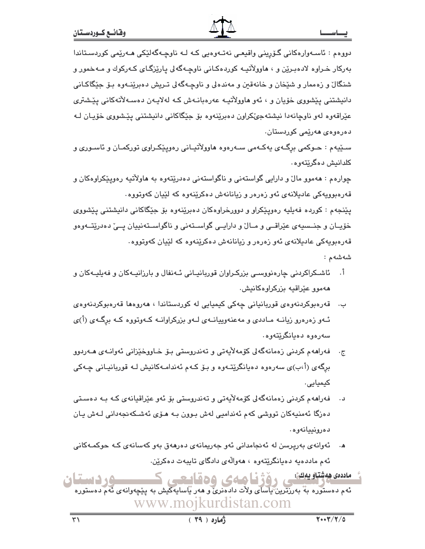دووہم : ئاسـەوارەكانى گـۆرپنى واقيعـى نەتـەوەيى كـە لـە ناوچـەگەلێكى ھـەرێمى كوردسـتاندا بهرکار خـراوه لادهبـرێن و ، هاوولاٌتيـه کوردهکـاني ناوچـهگهلي پارێزگـاي کـهرکوك و مـهخمور و شنگال و زهممار و شێخان و خانهقین و مهندهلی و ناوچـهگهلی تـریش دهبرێنـهوه بـۆ جێگاکـانی دانیشتنی پێشووی خۆیان و ، ئەو ھاوولاتیـه عەرەبانــەش کــه لـهلایــەن دەســەلاتـەکانى پێـشتری عێراقەوە لەو ناوچانەدا نیشتەجىٚكراون دەبرێنەوە بۆ جێگاكانى دانیشتنى يێشووى خۆپـان لـﻪ دەرەوەي ھەرێمى كوردستان٠

سـێپهم : حـوکمی برگـهی پهکـهمی سـهرهوه هاوولاٌتيـانی رهويێِکـراوی تورکمـان و ئاسـوری و کلدانىش دەگرىتەوە.

چوارهم : ههموو مالٌ و دارایی گواستهنی و ناگواستهنی دهدرێتهوه به هاولأتیه رهویێکراوهکان و قەرەبوويەكى عاديلانەي ئەو زەرەر و زيانانەش دەكرێنەوە كە لێيان كەوتووە.

پێنجهم : کورده فهیلیه رهوپێکراو و دوورخراوهکان دهبرێنهوه بۆ جێگاکانی دانیشتنی یێشووی خۆپـان و جنــسیهى عێراقــی و مــال ّو دارایــی گواســتهنی و ناگواســتهنییان پــیّ دهدرێتــهوهو قەرەبويەكى عادېلانەي ئەو زەرەر و زيانانەش دەكرێنەوە كە لێپان كەوتووە.

شەشەم :

- أ. ئاشــکراکردنی چارەنووسـی بزرکـراوان قوربانیـانی ئــهنفال و بارزانیــهکان و فهیلیــهکان و هەموو عێراقيە بزركراوەكانيش.
- ب. قەرەبوكردنەوەي قوربانيانى چەكى كيميايى لە كوردستاندا ، ھەروەھا قەرەبوكردنەوەي ئـهو زهرهرو زیانـه مـاددی و مهعنهوییانـهی لـهو بزرکراوانـه کـهوتووه کـه برگـهی (أ)ی سەرەوە دەيانگرێتەوە.
- ج. \_ فەراھەم كردنى زەمانەگەلى كۆمەلأيەتى و تەندروستى بـۆ خـاووخێزانى ئەوانـەي ھـەردوو برگەي (أ،ب)ي سەرەوە دەيانگرێتـەوە و بـۆ كـەم ئەندامـەكانيش لـە قوربانيـانى چـەكى کیمیایی.
- فەراھەم كردنى زەمانەگەلى كۆمەلأيەتى و تەندروستى بۆ ئەو عێراقيانەي كـە بـە دەسـتى دەزگا ئەمنيەكان تورشى كەم ئەندامىي لەش بىورن بـە ھـۆى ئەشـكەنجەدانى لـەش يـان دەرونييانەوە.
- ئەوانەي بەرپرسن لە ئەنجامدانى ئەو جەريمانەي دەرھەق بەو كەسانەي كـە حوكمـەكانى ئهم ماددهيه دهيانگرێتەوه ، هەوالّەي دادگاي تايبەت دەكرێن.
- مادد*ه*ی ههشتاویهكی.<br>- در استوره به به رزترین یاسای ولات دادهنری و ههر یاسایهكیش به پنچهوانهی نهم دهستوره<br>نهم دهستوره به بهرزترین یاسای ولات دادهنری و ههر یاسایهكیش به پنچهوانهی نهم دهستوره www.mojkurdistan.com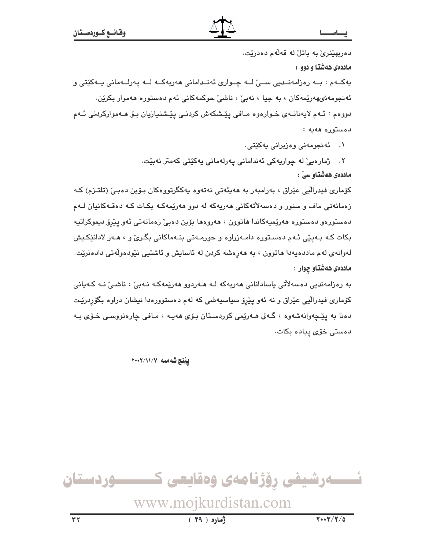دەربھێنرێ بە باتل لە قەلەم دەدرێت.

ماددهی ههشتا و دوو :

پەكــەم : بــە رەزامەنــدىي ســێ لــە چــوارى ئەنــدامانى ھەرپەكــە لــە پەرلــەمانى پــەكێتى و ئەنجومەنىھەرێمەكان ، بە جيا ، نەبىؒ ، ناشىؒ حوكمەكانى ئەم دەستورە ھەموار بكرێن. دووهم : ئـهم لايەنانـهى خـوارەوه مـافى پێشكەش كردنـى پێشنيازيان بـۆ ھـەمواركردنى ئـهم دەستورە ھەيە :

۰۱ ئەنجومەنى وەزيرانى يەكێتى.

۰۲ ژمارەيى لە چواريەكى ئەندامانى يەرلەمانى يەك<mark>تتى كەمتر نەب</mark>يت. ماددەى ھەشتاو سىٰ :

کۆماری فیدرالّیی عیّراق ، بەرامبەر بە ھەيئەتی نەتەوە يەكگرتووەكان بـۆين دەبـ," (تلتـزم) كـه زەمانەتى ماف و سنور و دەسەلاتەكانى ھەرپەكە لە دوو ھەرپمەكـە بكـات كـە دەقـەكانيان لــەم دەستورەو دەستورە ھەرپمپەكاندا ھاتوون ، ھەروەھا بۆين دەپے٬ زەمانەتى ئەو پېرۆ دېموكراتيە بکات کـه بـهییی ئـهم دهسـتوره دامـهزراوه و حورمـهتی بنـهماکانی بگـریّ و ، هـهر لادانیِّکـیش لەوانەي لەم ماددەيەدا ھاتوون ، بە ھەرەشە كردن لە ئاسايش و ئاشتيى نێودەولّەتى دادەنرێت. ماددهي ههشتاو چوار :

بە رەزامەندىي دەسەلاتى ياسادانانى ھەريەكە لـە ھـەردوڧ ھەرێمەكـە نـەبىٚ ، ناشـىٰ نـە كـەيانى کۆماری فیدرالّیی عێراق و نه ئەو پێرۆ سیاسیەشی که لەم دەستوورەدا نیشان دراوە بگۆردرێت دهنا به پێچەوانەشەوە ، گـەلى ھـەرێمى كوردسـتان بـۆى ھەپـە ، مـافى چارەنووسـى خـۆى بـە دەستى خۆي پيادە بكات.

لينتج شهمهه ٧/١١/٧-٢٠٠

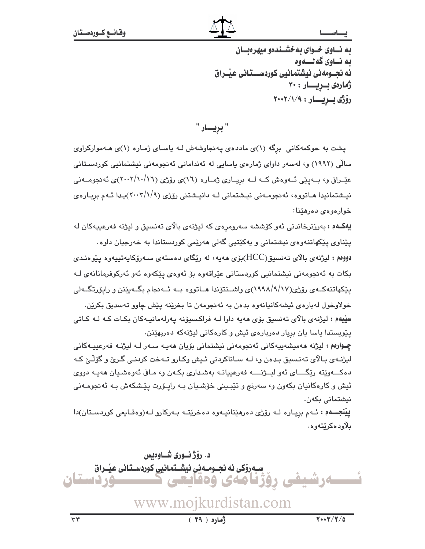به نساوی خسوای به خشسندهو میهره سان به نــاوي گه نــــهوه ئه نحــومهني نيشتمانيي كوردســـتاني عيْــراق ژمارەى بىريسار : ٣٠ رۆژى بىريسار: ٢٠٠٣/١/٩

" بريــــار "

یشت به حوکمهکانی برگه (۱)ی ماددهی پهنجاوشهش له یاسای ژماره (۱)ی ههموارکراوی سالّی (۱۹۹۲) و، لەسەر داوای ژمارەی پاسايی لە ئەندامانی ئەنجومەنی نیشتمانیی کوردسـتانی عیّــراق و، بــهپیّـی ئــهوهش کــه لــه برِیــاری ژمــاره (١٦)ی روّرژی (١٦/١٠/١٦)ی ئهنجومــهنی نیشتمانیدا هـاتووه، ئەنجومـەنى نیـشتمانى لـه دانیـشتنى رۆژى (٢٠٠٣/١/٩)يـدا ئـهم بريـارەي خوارەوەي دەرھێنا:

يهكـهم : بهرزنرخاندنی ئهو كۆششه سهرومرهى كه ليژنهى بالاى تهنسيق و ليژنه فهرعييهكان له پێناوی پێکهاتنەوەی نیشتمانی و پەکێتیی گەلی مەرێمی کوردستاندا بە خەرجیان داوە٠ دووهم : لیژنهی بالای تەنسىیق(HCC)بۆی ھەيە، لە رێگای دەستەی سـەرۆكايەتىييەوە پێوەنـدى بکات به ئەنجومەنى نیشتمانیے کوردستانی عێراقەوە بۆ ئەوەي يێکەوە ئەو ئەرکوفرمانانەي لـە پێکهاتنهکـهی رۆژی(۹/۱۷/۱۹۹۸)ی واشــنتۆندا هــاتووه بــه ئــهنجام بگــهیێنن و راپۆرتگــهلی خولاوخول لەبارەي ئېشەكانيانەوە بدەن بە ئەنجومەن تا بخرينە يێش چاوو تەسدىق بكرين. سِلِيهم : ليژنهي بالاي تەنسىق بۆي ھەيە داوا لــه فراكسىۆنە يەرلەمانيـەكان بكـات كـه لــه كـاتى پێویستدا یاسا یان برِیار دهربارهی ئیش و کارهکانی لیژنهکه دهربهێنن.

چـوارەم : لیژنه ھەمیشەپیەكانی ئەنجومەنی نیشتمانی بۆیان ھەپـە سـەر لـە لیژنـە فەرعیپـەكانی ليژنــهي بـالاي تهنـسيق بـدهن و، لــه سـاناكردني ئـيش وكـارو تــهخت كردنـي گـريّ و گۆلـّيّ كـه دهکـــهويته ريگــــاي ئهو ليـــژنـــــه فهرعييانــه بهشـداري بکـهن و، مـافي ئهوهشـيان ههيـه دووي ئيش و کارهکانيان بکەون و، سەرنج و تێبـيني خۆشـيان بـه رايـۆرت پێـشکەش بـه ئەنجومـەنى نيشتمانى بكەن.

**پيُنجـــه**م : ئــهم بريــاره لــه رۆژى دەرهێنانيــهوه دەخرێتــه بــهرکارو لــه(وەقــايعى کوردســتان)دا ىلاودەكرېتەوھ.

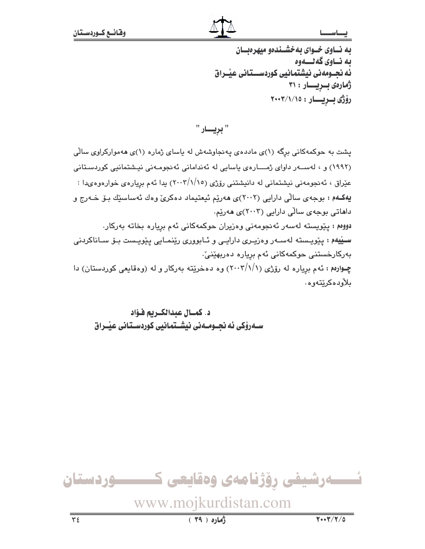#### بصاسدا

به نساوی خسوای به خشسندهو میهرهنسان به نــاوي گه نــــهوه ئه نجــومەنى نيشتمانيى كوردســـتانى عيْــراق ژمارەى بىريسار: ٣١ رۆژى بىريسار: ٢٠٠٣/١/١٥

" بريسار "

یشت به حوکمهکانی برگه (۱)ی ماددهی یهنجاوشهش له یاسای ژماره (۱)ی ههموارکراوی سالی (۱۹۹۲) و ، لهســهر داوای ژمــــارهی پاسایی له ئهندامانی ئهنجومـهنی نیـشتمانیی کوردسـتانی عێراق ، ئەنجومەنى نيشتمانى لە دانيشتنى رۆژى (٢٠٠٣/١/١٥) يدا ئەم بريارەي خوارەوەيدا : يهکهم : بوجهي سالي دارايي (٢٠٠٢)ي ههريم ئيعتيماد دهکريّ وهك ئهساسيّك بيّ خـهرج و داهاتی بوجهی سالّی دارایی (۲۰۰۳)ی ههریم. دووم : پێویسته لهسهر ئه نجومهنی وهزیران حوکمهکانی ئهم بریاره بخاته بهرکار. سييهم : پێویسته لهسـهر وهزیـری دارایـی و ئـابووری رێنمـایی پێویـست بـۆ سـاناکردنی بەركارخستنى حوكمەكانى ئەم بريارە دەربھێنىٚ٠ چــوارهم : ئهم بریاره له رۆژی (۱/ /۲۰۰۳) وه دهخریته بهرکار و له (وهقایعی کوردستان) دا ىلأودەكرێتەوە.

د. كمسال عبدالكبريم فـؤاد سـهروْکی ئه نحـومـهنی نیشـتمانیی کوردسـتانی عبّـراق

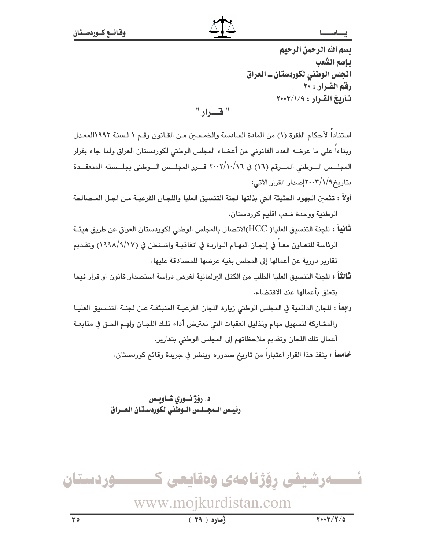#### ب جا س

يسم الله الرحمن الرحيم ياسم الشعب المجلس الوطني لكوردستان ــ العراق رفق القرار : ٣٠ تأريخ القرار : ٢٠٠٣/١/٩

" فسرار "

استناداً لأحكام الفقرة (١) من المادة السادسة والخمسين مـن القـانون رقـم ١ لـسنة ١٩٩٢المعـدل وبناءا على ما عرضه العدد القانوني من أعضاء المجلس الوطني لكوردستان العراق ولما جاء بقرار المجلـــس الـــوطني المـــرقم (١٦) في ٢٠٠٢/١٠/١٦ قـــرر المجلـــس الـــوطني بجلـــسته المنعقـــدة بتاريخ1/١//٢٠٠٣إصدار القرار الآتي:

- أولاً : تثمين الجهود الحثيثة التي بذلتها لجنة التنسيق العليا واللجـان الفرعيـة مـن اجـل المـصالحة الوطنية ووحدة شعب اقليم كوردستان.
- **ثانياً :** للجنة التنسيق العليا( HCC)الاتصال بالمجلس الوطني لكوردستان العراق عن طريق هيئـة الرئاسة للتعـاون معـاً في إنجـاز المهـام الـواردة في اتفاقيـة واشـنطن في (١٧/٩/١/١) وتقـديم تقارير دورية عن أعمالها إلى المجلس بغية عرضها للمصادقة عليها.
- ثالثاً : للجنة التنسيق العليا الطلب من الكتل البرلمانية لغرض دراسة استصدار قانون او قرار فيما بتعلق بأعمالها عند الاقتضاء.
- را**بع**اً : للجان الدائمية في المجلس الوطني زيارة اللجان الفرعيــة المنبثقـة عـن لجنــة التنـسيق العليـا والمشاركة لتسهيل مهام وتذليل العقبات التي تعترض أداء تلك اللجان ولهم الحق في متابعة أعمال تلك اللجان وتقديم ملاحظاتهم إلى المجلس الوطني بتقارير.

خمامساً : ينفذ هذا القرار اعتبارا من تاريخ صدوره وينشر في جريدة وقائع كوردستان.

د. رۆژنــوري شــاويــس رئيس المجـلس الـوطنى لكوردسـتان العــراق

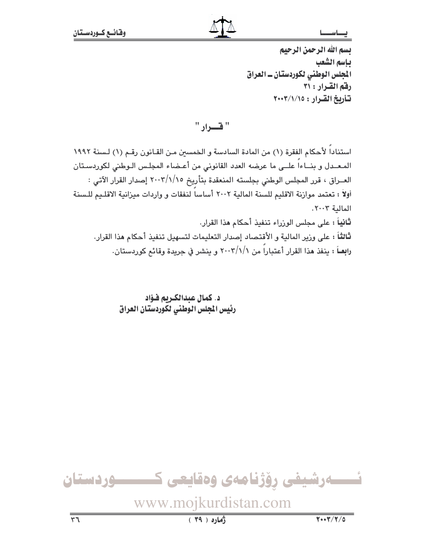يسم الله الرحمن الرحيم بإسم الشعب المجلس الوطني لكوردستان ـ العراق رفق القرار : ٣١ تأريخ القرار: ٢٠٠٣/١/١٥

" قسرار "

استنادا لأحكام الفقرة (١) من المادة السادسة و الخمسين مـن القـانون رقـم (١) لـسنة ١٩٩٢ المعدل وبناءا علـى ما عرضه العدد القانوني من أعـضاء المجلس الوطني لكوردستان العــراق ، قرر المجلس الوطني بجلسته المنعقدة بتأريخ ٢٠٠٣/١/١٥ إصدار القرار الآتي : أولاً : تعتمد موازنة الاقليم للسنة المالية ٢٠٠٢ أساساً لنفقات و واردات ميزانية الاقليم للـسنة المالية ٢٠٠٣. **ثانياً :** على مجلس الوزراء تنفيذ أحكام هذا القرار. ثالثاً : على وزير المالية و الأقتصاد إصدار التعليمات لتسهيل تنفيذ أحكام هذا القرار. رابِعــاً : ينفذ هذا القرار أعتباراً من ٢٠٠٣/١/١ و ينشر في جريدة وقائم كوردستان.

> د. كمال عبدالكريم فـؤاد رئيس الجلس الوطني لكوردستان العراق